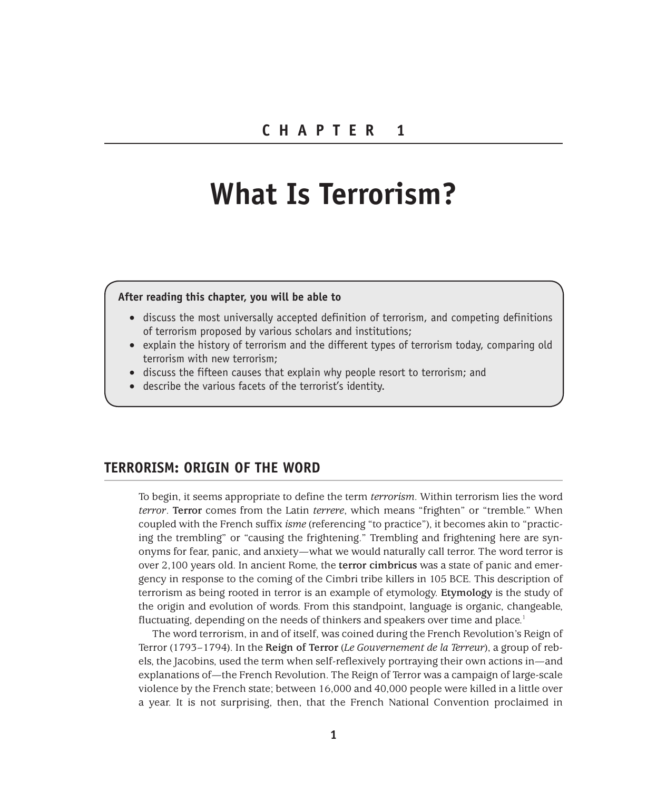# **What Is Terrorism?**

### **After reading this chapter, you will be able to**

- discuss the most universally accepted definition of terrorism, and competing definitions of terrorism proposed by various scholars and institutions;
- explain the history of terrorism and the different types of terrorism today, comparing old terrorism with new terrorism;
- discuss the fifteen causes that explain why people resort to terrorism; and
- describe the various facets of the terrorist's identity.

## **TERRORISM: ORIGIN OF THE WORD**

To begin, it seems appropriate to define the term *terrorism*. Within terrorism lies the word *terror*. **Terror** comes from the Latin *terrere*, which means "frighten" or "tremble." When coupled with the French suffix *isme* (referencing "to practice"), it becomes akin to "practicing the trembling" or "causing the frightening." Trembling and frightening here are synonyms for fear, panic, and anxiety—what we would naturally call terror. The word terror is over 2,100 years old. In ancient Rome, the **terror cimbricus** was a state of panic and emergency in response to the coming of the Cimbri tribe killers in 105 BCE. This description of terrorism as being rooted in terror is an example of etymology. **Etymology** is the study of the origin and evolution of words. From this standpoint, language is organic, changeable, fluctuating, depending on the needs of thinkers and speakers over time and place.<sup>1</sup>

The word terrorism, in and of itself, was coined during the French Revolution's Reign of Terror (1793–1794). In the **Reign of Terror** (*Le Gouvernement de la Terreur*), a group of rebels, the Jacobins, used the term when self-reflexively portraying their own actions in—and explanations of—the French Revolution. The Reign of Terror was a campaign of large-scale violence by the French state; between 16,000 and 40,000 people were killed in a little over a year. It is not surprising, then, that the French National Convention proclaimed in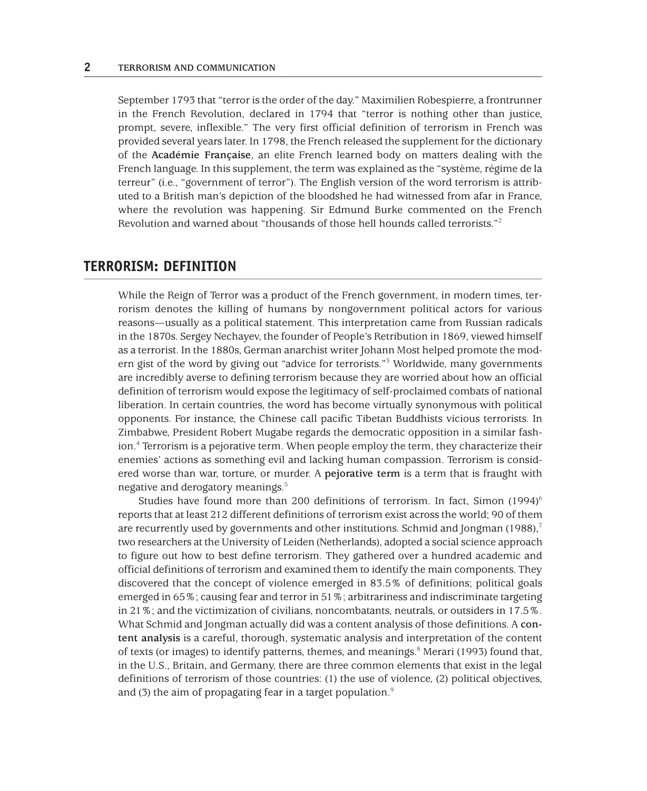September 1793 that "terror is the order of the day." Maximilien Robespierre, a frontrunner in the French Revolution, declared in 1794 that "terror is nothing other than justice, prompt, severe, inflexible." The very first official definition of terrorism in French was provided several years later. In 1798, the French released the supplement for the dictionary of the **Académie Française**, an elite French learned body on matters dealing with the French language. In this supplement, the term was explained as the "système, régime de la terreur" (i.e., "government of terror"). The English version of the word terrorism is attributed to a British man's depiction of the bloodshed he had witnessed from afar in France, where the revolution was happening. Sir Edmund Burke commented on the French Revolution and warned about "thousands of those hell hounds called terrorists."<sup>2</sup>

## **TERRORISM: DEFINITION**

While the Reign of Terror was a product of the French government, in modern times, terrorism denotes the killing of humans by nongovernment political actors for various reasons—usually as a political statement. This interpretation came from Russian radicals in the 1870s. Sergey Nechayev, the founder of People's Retribution in 1869, viewed himself as a terrorist. In the 1880s, German anarchist writer Johann Most helped promote the modern gist of the word by giving out "advice for terrorists."<sup>3</sup> Worldwide, many governments are incredibly averse to defining terrorism because they are worried about how an official definition of terrorism would expose the legitimacy of self-proclaimed combats of national liberation. In certain countries, the word has become virtually synonymous with political opponents. For instance, the Chinese call pacific Tibetan Buddhists vicious terrorists. In Zimbabwe, President Robert Mugabe regards the democratic opposition in a similar fashion.<sup>4</sup> Terrorism is a pejorative term. When people employ the term, they characterize their enemies' actions as something evil and lacking human compassion. Terrorism is considered worse than war, torture, or murder. A **pejorative term** is a term that is fraught with negative and derogatory meanings.<sup>5</sup>

Studies have found more than 200 definitions of terrorism. In fact, Simon  $(1994)^6$ reports that at least 212 different definitions of terrorism exist across the world; 90 of them are recurrently used by governments and other institutions. Schmid and Jongman  $(1988)^7$ two researchers at the University of Leiden (Netherlands), adopted a social science approach to figure out how to best define terrorism. They gathered over a hundred academic and official definitions of terrorism and examined them to identify the main components. They discovered that the concept of violence emerged in 83.5% of definitions; political goals emerged in 65%; causing fear and terror in 51%; arbitrariness and indiscriminate targeting in 21%; and the victimization of civilians, noncombatants, neutrals, or outsiders in 17.5%. What Schmid and Jongman actually did was a content analysis of those definitions. A **content analysis** is a careful, thorough, systematic analysis and interpretation of the content of texts (or images) to identify patterns, themes, and meanings.<sup>8</sup> Merari (1993) found that, in the U.S., Britain, and Germany, there are three common elements that exist in the legal definitions of terrorism of those countries: (1) the use of violence, (2) political objectives, and  $(3)$  the aim of propagating fear in a target population.<sup>9</sup>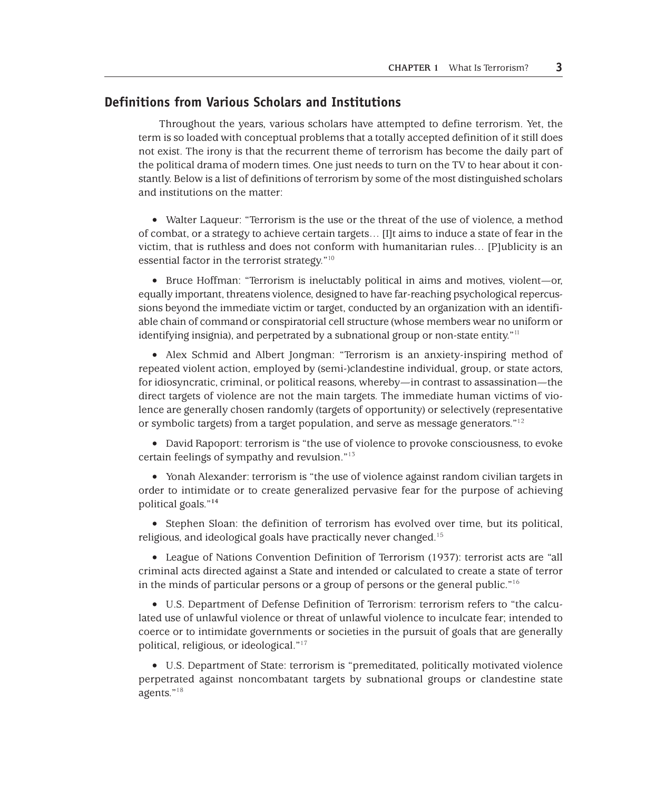## **Definitions from Various Scholars and Institutions**

Throughout the years, various scholars have attempted to define terrorism. Yet, the term is so loaded with conceptual problems that a totally accepted definition of it still does not exist. The irony is that the recurrent theme of terrorism has become the daily part of the political drama of modern times. One just needs to turn on the TV to hear about it constantly. Below is a list of definitions of terrorism by some of the most distinguished scholars and institutions on the matter:

• Walter Laqueur: "Terrorism is the use or the threat of the use of violence, a method of combat, or a strategy to achieve certain targets… [I]t aims to induce a state of fear in the victim, that is ruthless and does not conform with humanitarian rules… [P]ublicity is an essential factor in the terrorist strategy."<sup>10</sup>

• Bruce Hoffman: "Terrorism is ineluctably political in aims and motives, violent—or, equally important, threatens violence, designed to have far-reaching psychological repercussions beyond the immediate victim or target, conducted by an organization with an identifiable chain of command or conspiratorial cell structure (whose members wear no uniform or identifying insignia), and perpetrated by a subnational group or non-state entity."<sup>11</sup>

• Alex Schmid and Albert Jongman: "Terrorism is an anxiety-inspiring method of repeated violent action, employed by (semi-)clandestine individual, group, or state actors, for idiosyncratic, criminal, or political reasons, whereby—in contrast to assassination—the direct targets of violence are not the main targets. The immediate human victims of violence are generally chosen randomly (targets of opportunity) or selectively (representative or symbolic targets) from a target population, and serve as message generators."<sup>12</sup>

• David Rapoport: terrorism is "the use of violence to provoke consciousness, to evoke certain feelings of sympathy and revulsion."<sup>13</sup>

• Yonah Alexander: terrorism is "the use of violence against random civilian targets in order to intimidate or to create generalized pervasive fear for the purpose of achieving political goals."**<sup>14</sup>**

• Stephen Sloan: the definition of terrorism has evolved over time, but its political, religious, and ideological goals have practically never changed.<sup>15</sup>

• League of Nations Convention Definition of Terrorism (1937): terrorist acts are "all criminal acts directed against a State and intended or calculated to create a state of terror in the minds of particular persons or a group of persons or the general public."<sup>16</sup>

• U.S. Department of Defense Definition of Terrorism: terrorism refers to "the calculated use of unlawful violence or threat of unlawful violence to inculcate fear; intended to coerce or to intimidate governments or societies in the pursuit of goals that are generally political, religious, or ideological."<sup>17</sup>

• U.S. Department of State: terrorism is "premeditated, politically motivated violence perpetrated against noncombatant targets by subnational groups or clandestine state agents."18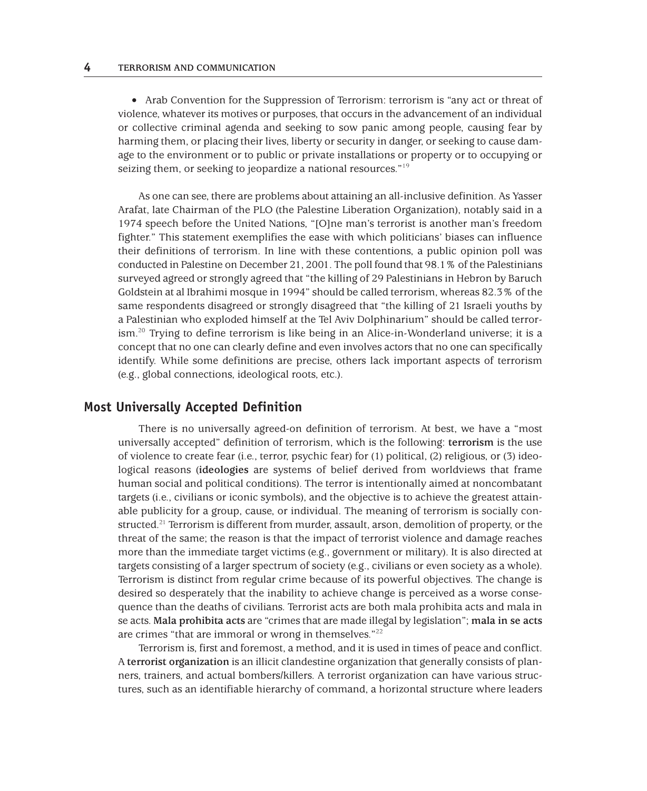• Arab Convention for the Suppression of Terrorism: terrorism is "any act or threat of violence, whatever its motives or purposes, that occurs in the advancement of an individual or collective criminal agenda and seeking to sow panic among people, causing fear by harming them, or placing their lives, liberty or security in danger, or seeking to cause damage to the environment or to public or private installations or property or to occupying or seizing them, or seeking to jeopardize a national resources."<sup>19</sup>

As one can see, there are problems about attaining an all-inclusive definition. As Yasser Arafat, late Chairman of the PLO (the Palestine Liberation Organization), notably said in a 1974 speech before the United Nations, "[O]ne man's terrorist is another man's freedom fighter." This statement exemplifies the ease with which politicians' biases can influence their definitions of terrorism. In line with these contentions, a public opinion poll was conducted in Palestine on December 21, 2001. The poll found that 98.1% of the Palestinians surveyed agreed or strongly agreed that "the killing of 29 Palestinians in Hebron by Baruch Goldstein at al Ibrahimi mosque in 1994" should be called terrorism, whereas 82.3% of the same respondents disagreed or strongly disagreed that "the killing of 21 Israeli youths by a Palestinian who exploded himself at the Tel Aviv Dolphinarium" should be called terror- $\sin^{20}$  Trying to define terrorism is like being in an Alice-in-Wonderland universe; it is a concept that no one can clearly define and even involves actors that no one can specifically identify. While some definitions are precise, others lack important aspects of terrorism (e.g., global connections, ideological roots, etc.).

## **Most Universally Accepted Definition**

There is no universally agreed-on definition of terrorism. At best, we have a "most universally accepted" definition of terrorism, which is the following: **terrorism** is the use of violence to create fear (i.e., terror, psychic fear) for (1) political, (2) religious, or (3) ideological reasons (**ideologies** are systems of belief derived from worldviews that frame human social and political conditions). The terror is intentionally aimed at noncombatant targets (i.e., civilians or iconic symbols), and the objective is to achieve the greatest attainable publicity for a group, cause, or individual. The meaning of terrorism is socially constructed.<sup>21</sup> Terrorism is different from murder, assault, arson, demolition of property, or the threat of the same; the reason is that the impact of terrorist violence and damage reaches more than the immediate target victims (e.g., government or military). It is also directed at targets consisting of a larger spectrum of society (e.g., civilians or even society as a whole). Terrorism is distinct from regular crime because of its powerful objectives. The change is desired so desperately that the inability to achieve change is perceived as a worse consequence than the deaths of civilians. Terrorist acts are both mala prohibita acts and mala in se acts. **Mala prohibita acts** are "crimes that are made illegal by legislation"; **mala in se acts** are crimes "that are immoral or wrong in themselves."<sup>22</sup>

Terrorism is, first and foremost, a method, and it is used in times of peace and conflict. A **terrorist organization** is an illicit clandestine organization that generally consists of planners, trainers, and actual bombers/killers. A terrorist organization can have various structures, such as an identifiable hierarchy of command, a horizontal structure where leaders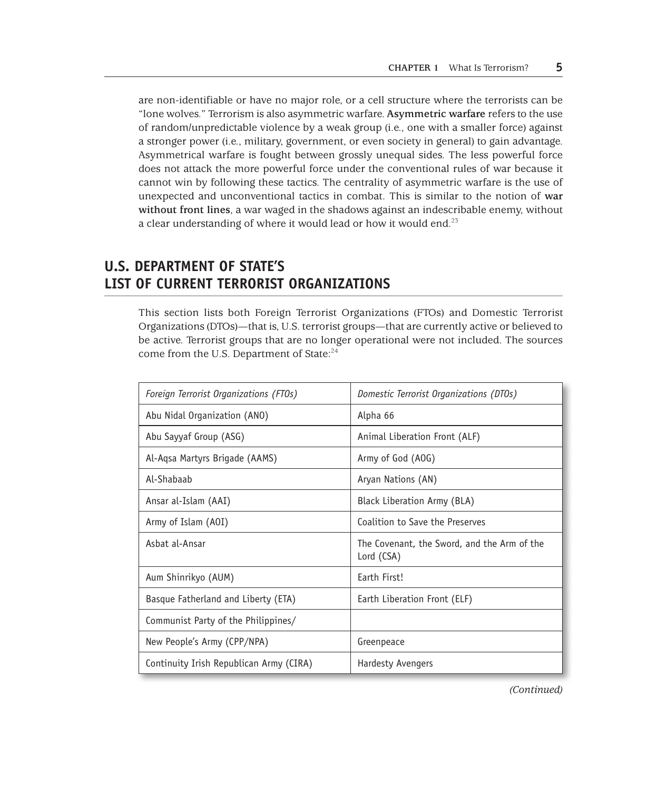are non-identifiable or have no major role, or a cell structure where the terrorists can be "lone wolves." Terrorism is also asymmetric warfare. **Asymmetric warfare** refers to the use of random/unpredictable violence by a weak group (i.e., one with a smaller force) against a stronger power (i.e., military, government, or even society in general) to gain advantage. Asymmetrical warfare is fought between grossly unequal sides. The less powerful force does not attack the more powerful force under the conventional rules of war because it cannot win by following these tactics. The centrality of asymmetric warfare is the use of unexpected and unconventional tactics in combat. This is similar to the notion of **war without front lines**, a war waged in the shadows against an indescribable enemy, without a clear understanding of where it would lead or how it would end.<sup>23</sup>

# **U.S. DEPARTMENT OF STATE'S LIST OF CURRENT TERRORIST ORGANIZATIONS**

This section lists both Foreign Terrorist Organizations (FTOs) and Domestic Terrorist Organizations (DTOs)—that is, U.S. terrorist groups—that are currently active or believed to be active. Terrorist groups that are no longer operational were not included. The sources come from the U.S. Department of State:<sup>24</sup>

| Foreign Terrorist Organizations (FTOs)  | Domestic Terrorist Organizations (DTOs)                   |
|-----------------------------------------|-----------------------------------------------------------|
| Abu Nidal Organization (ANO)            | Alpha 66                                                  |
| Abu Sayyaf Group (ASG)                  | Animal Liberation Front (ALF)                             |
| Al-Agsa Martyrs Brigade (AAMS)          | Army of God (AOG)                                         |
| Al-Shabaab                              | Aryan Nations (AN)                                        |
| Ansar al-Islam (AAI)                    | Black Liberation Army (BLA)                               |
| Army of Islam (AOI)                     | Coalition to Save the Preserves                           |
| Asbat al-Ansar                          | The Covenant, the Sword, and the Arm of the<br>Lord (CSA) |
| Aum Shinrikyo (AUM)                     | Earth First!                                              |
| Basque Fatherland and Liberty (ETA)     | Earth Liberation Front (ELF)                              |
| Communist Party of the Philippines/     |                                                           |
| New People's Army (CPP/NPA)             | Greenpeace                                                |
| Continuity Irish Republican Army (CIRA) | Hardesty Avengers                                         |

*(Continued)*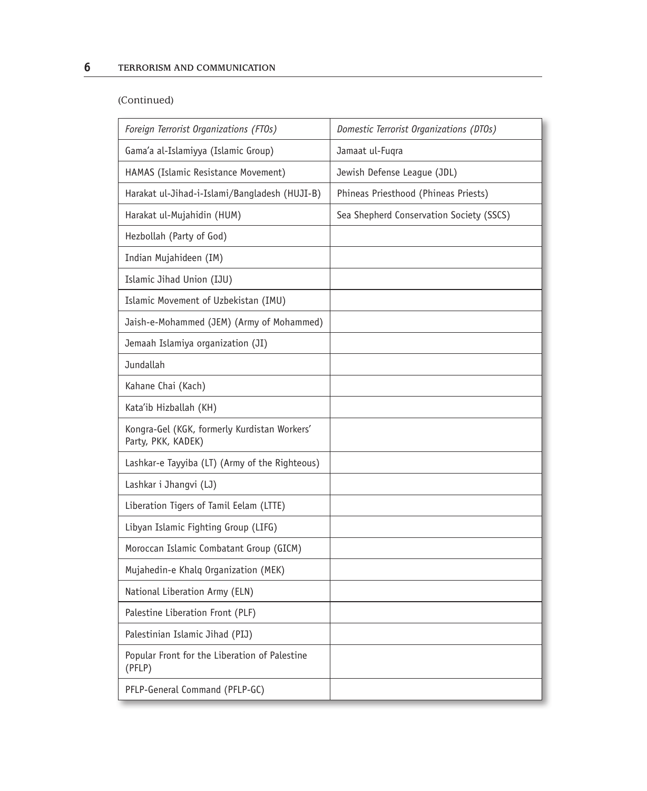## (Continued)

| Foreign Terrorist Organizations (FTOs)                             | Domestic Terrorist Organizations (DTOs)  |
|--------------------------------------------------------------------|------------------------------------------|
| Gama'a al-Islamiyya (Islamic Group)                                | Jamaat ul-Fugra                          |
| HAMAS (Islamic Resistance Movement)                                | Jewish Defense League (JDL)              |
| Harakat ul-Jihad-i-Islami/Bangladesh (HUJI-B)                      | Phineas Priesthood (Phineas Priests)     |
| Harakat ul-Mujahidin (HUM)                                         | Sea Shepherd Conservation Society (SSCS) |
| Hezbollah (Party of God)                                           |                                          |
| Indian Mujahideen (IM)                                             |                                          |
| Islamic Jihad Union (IJU)                                          |                                          |
| Islamic Movement of Uzbekistan (IMU)                               |                                          |
| Jaish-e-Mohammed (JEM) (Army of Mohammed)                          |                                          |
| Jemaah Islamiya organization (JI)                                  |                                          |
| Jundallah                                                          |                                          |
| Kahane Chai (Kach)                                                 |                                          |
| Kata'ib Hizballah (KH)                                             |                                          |
| Kongra-Gel (KGK, formerly Kurdistan Workers'<br>Party, PKK, KADEK) |                                          |
| Lashkar-e Tayyiba (LT) (Army of the Righteous)                     |                                          |
| Lashkar i Jhangvi (LJ)                                             |                                          |
| Liberation Tigers of Tamil Eelam (LTTE)                            |                                          |
| Libyan Islamic Fighting Group (LIFG)                               |                                          |
| Moroccan Islamic Combatant Group (GICM)                            |                                          |
| Mujahedin-e Khalq Organization (MEK)                               |                                          |
| National Liberation Army (ELN)                                     |                                          |
| Palestine Liberation Front (PLF)                                   |                                          |
| Palestinian Islamic Jihad (PIJ)                                    |                                          |
| Popular Front for the Liberation of Palestine<br>(PFLP)            |                                          |
| PFLP-General Command (PFLP-GC)                                     |                                          |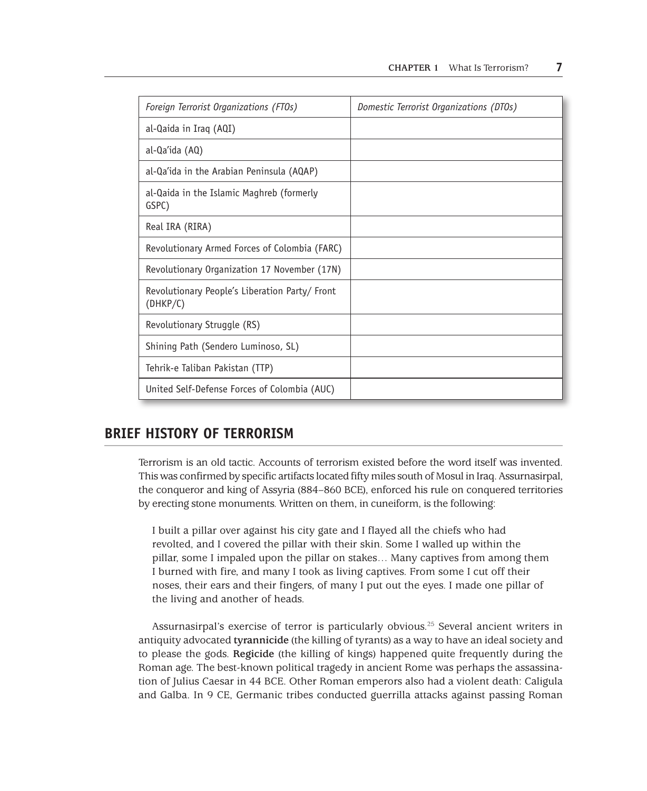| Foreign Terrorist Organizations (FTOs)                    | Domestic Terrorist Organizations (DTOs) |
|-----------------------------------------------------------|-----------------------------------------|
| al-Qaida in Iraq (AQI)                                    |                                         |
| al-Qa'ida (AQ)                                            |                                         |
| al-Qa'ida in the Arabian Peninsula (AQAP)                 |                                         |
| al-Qaida in the Islamic Maghreb (formerly<br>GSPC)        |                                         |
| Real IRA (RIRA)                                           |                                         |
| Revolutionary Armed Forces of Colombia (FARC)             |                                         |
| Revolutionary Organization 17 November (17N)              |                                         |
| Revolutionary People's Liberation Party/Front<br>(DHKP/C) |                                         |
| Revolutionary Struggle (RS)                               |                                         |
| Shining Path (Sendero Luminoso, SL)                       |                                         |
| Tehrik-e Taliban Pakistan (TTP)                           |                                         |
| United Self-Defense Forces of Colombia (AUC)              |                                         |

# **BRIEF HISTORY OF TERRORISM**

Terrorism is an old tactic. Accounts of terrorism existed before the word itself was invented. This was confirmed by specific artifacts located fifty miles south of Mosul in Iraq. Assurnasirpal, the conqueror and king of Assyria (884–860 BCE), enforced his rule on conquered territories by erecting stone monuments. Written on them, in cuneiform, is the following:

I built a pillar over against his city gate and I flayed all the chiefs who had revolted, and I covered the pillar with their skin. Some I walled up within the pillar, some I impaled upon the pillar on stakes… Many captives from among them I burned with fire, and many I took as living captives. From some I cut off their noses, their ears and their fingers, of many I put out the eyes. I made one pillar of the living and another of heads.

Assurnasirpal's exercise of terror is particularly obvious.<sup>25</sup> Several ancient writers in antiquity advocated **tyrannicide** (the killing of tyrants) as a way to have an ideal society and to please the gods. **Regicide** (the killing of kings) happened quite frequently during the Roman age. The best-known political tragedy in ancient Rome was perhaps the assassination of Julius Caesar in 44 BCE. Other Roman emperors also had a violent death: Caligula and Galba. In 9 CE, Germanic tribes conducted guerrilla attacks against passing Roman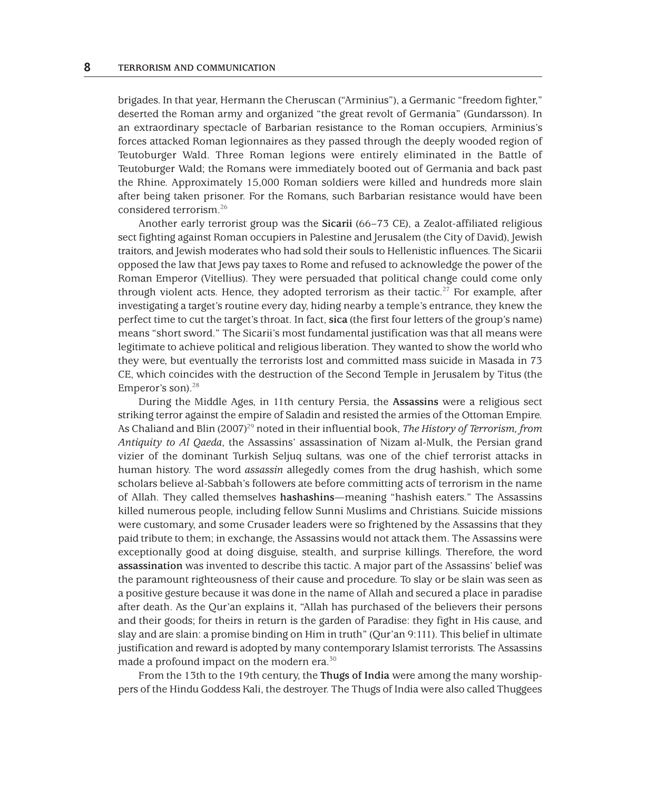brigades. In that year, Hermann the Cheruscan ("Arminius"), a Germanic "freedom fighter," deserted the Roman army and organized "the great revolt of Germania" (Gundarsson). In an extraordinary spectacle of Barbarian resistance to the Roman occupiers, Arminius's forces attacked Roman legionnaires as they passed through the deeply wooded region of Teutoburger Wald. Three Roman legions were entirely eliminated in the Battle of Teutoburger Wald; the Romans were immediately booted out of Germania and back past the Rhine. Approximately 15,000 Roman soldiers were killed and hundreds more slain after being taken prisoner. For the Romans, such Barbarian resistance would have been considered terrorism.<sup>26</sup>

Another early terrorist group was the **Sicarii** (66–73 CE), a Zealot-affiliated religious sect fighting against Roman occupiers in Palestine and Jerusalem (the City of David), Jewish traitors, and Jewish moderates who had sold their souls to Hellenistic influences. The Sicarii opposed the law that Jews pay taxes to Rome and refused to acknowledge the power of the Roman Emperor (Vitellius). They were persuaded that political change could come only through violent acts. Hence, they adopted terrorism as their tactic.<sup>27</sup> For example, after investigating a target's routine every day, hiding nearby a temple's entrance, they knew the perfect time to cut the target's throat. In fact, **sica** (the first four letters of the group's name) means "short sword." The Sicarii's most fundamental justification was that all means were legitimate to achieve political and religious liberation. They wanted to show the world who they were, but eventually the terrorists lost and committed mass suicide in Masada in 73 CE, which coincides with the destruction of the Second Temple in Jerusalem by Titus (the Emperor's son). $28$ 

During the Middle Ages, in 11th century Persia, the **Assassins** were a religious sect striking terror against the empire of Saladin and resisted the armies of the Ottoman Empire. As Chaliand and Blin (2007)<sup>29</sup> noted in their influential book, *The History of Terrorism, from Antiquity to Al Qaeda*, the Assassins' assassination of Nizam al-Mulk, the Persian grand vizier of the dominant Turkish Seljuq sultans, was one of the chief terrorist attacks in human history. The word *assassin* allegedly comes from the drug hashish, which some scholars believe al-Sabbah's followers ate before committing acts of terrorism in the name of Allah. They called themselves **hashashins**—meaning "hashish eaters." The Assassins killed numerous people, including fellow Sunni Muslims and Christians. Suicide missions were customary, and some Crusader leaders were so frightened by the Assassins that they paid tribute to them; in exchange, the Assassins would not attack them. The Assassins were exceptionally good at doing disguise, stealth, and surprise killings. Therefore, the word **assassination** was invented to describe this tactic. A major part of the Assassins' belief was the paramount righteousness of their cause and procedure. To slay or be slain was seen as a positive gesture because it was done in the name of Allah and secured a place in paradise after death. As the Qur'an explains it, "Allah has purchased of the believers their persons and their goods; for theirs in return is the garden of Paradise: they fight in His cause, and slay and are slain: a promise binding on Him in truth" (Qur'an 9:111). This belief in ultimate justification and reward is adopted by many contemporary Islamist terrorists. The Assassins made a profound impact on the modern era.<sup>30</sup>

From the 13th to the 19th century, the **Thugs of India** were among the many worshippers of the Hindu Goddess Kali, the destroyer. The Thugs of India were also called Thuggees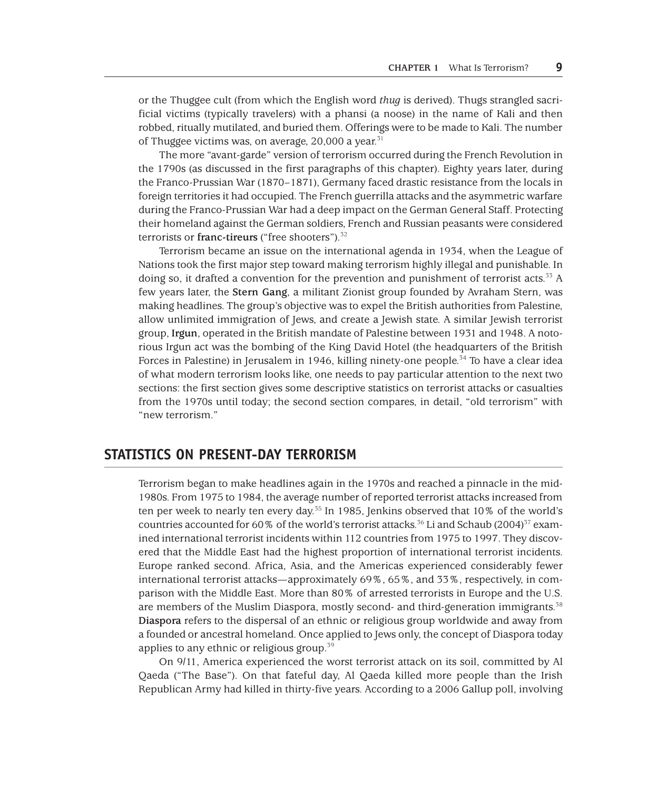or the Thuggee cult (from which the English word *thug* is derived). Thugs strangled sacrificial victims (typically travelers) with a phansi (a noose) in the name of Kali and then robbed, ritually mutilated, and buried them. Offerings were to be made to Kali. The number of Thuggee victims was, on average, 20,000 a year.<sup>31</sup>

The more "avant-garde" version of terrorism occurred during the French Revolution in the 1790s (as discussed in the first paragraphs of this chapter). Eighty years later, during the Franco-Prussian War (1870–1871), Germany faced drastic resistance from the locals in foreign territories it had occupied. The French guerrilla attacks and the asymmetric warfare during the Franco-Prussian War had a deep impact on the German General Staff. Protecting their homeland against the German soldiers, French and Russian peasants were considered terrorists or franc-tireurs ("free shooters").<sup>32</sup>

Terrorism became an issue on the international agenda in 1934, when the League of Nations took the first major step toward making terrorism highly illegal and punishable. In doing so, it drafted a convention for the prevention and punishment of terrorist acts.<sup>33</sup> A few years later, the **Stern Gang**, a militant Zionist group founded by Avraham Stern, was making headlines. The group's objective was to expel the British authorities from Palestine, allow unlimited immigration of Jews, and create a Jewish state. A similar Jewish terrorist group, **Irgun**, operated in the British mandate of Palestine between 1931 and 1948. A notorious Irgun act was the bombing of the King David Hotel (the headquarters of the British Forces in Palestine) in Jerusalem in 1946, killing ninety-one people.<sup>34</sup> To have a clear idea of what modern terrorism looks like, one needs to pay particular attention to the next two sections: the first section gives some descriptive statistics on terrorist attacks or casualties from the 1970s until today; the second section compares, in detail, "old terrorism" with "new terrorism."

## **STATISTICS ON PRESENT-DAY TERRORISM**

Terrorism began to make headlines again in the 1970s and reached a pinnacle in the mid-1980s. From 1975 to 1984, the average number of reported terrorist attacks increased from ten per week to nearly ten every day.<sup>35</sup> In 1985, Jenkins observed that 10% of the world's countries accounted for 60% of the world's terrorist attacks.<sup>36</sup> Li and Schaub (2004)<sup>37</sup> examined international terrorist incidents within 112 countries from 1975 to 1997. They discovered that the Middle East had the highest proportion of international terrorist incidents. Europe ranked second. Africa, Asia, and the Americas experienced considerably fewer international terrorist attacks—approximately 69%, 65%, and 33%, respectively, in comparison with the Middle East. More than 80% of arrested terrorists in Europe and the U.S. are members of the Muslim Diaspora, mostly second- and third-generation immigrants.<sup>38</sup> **Diaspora** refers to the dispersal of an ethnic or religious group worldwide and away from a founded or ancestral homeland. Once applied to Jews only, the concept of Diaspora today applies to any ethnic or religious group.<sup>39</sup>

On 9/11, America experienced the worst terrorist attack on its soil, committed by Al Qaeda ("The Base"). On that fateful day, Al Qaeda killed more people than the Irish Republican Army had killed in thirty-five years. According to a 2006 Gallup poll, involving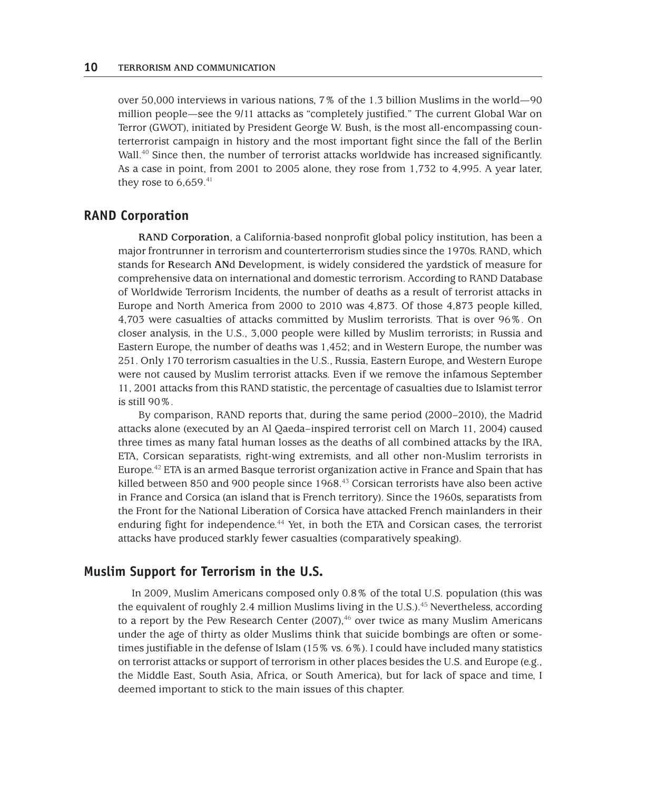over 50,000 interviews in various nations, 7% of the 1.3 billion Muslims in the world—90 million people—see the 9/11 attacks as "completely justified." The current Global War on Terror (GWOT), initiated by President George W. Bush, is the most all-encompassing counterterrorist campaign in history and the most important fight since the fall of the Berlin Wall.<sup>40</sup> Since then, the number of terrorist attacks worldwide has increased significantly. As a case in point, from 2001 to 2005 alone, they rose from 1,732 to 4,995. A year later, they rose to  $6,659.^{41}$ 

## **RAND Corporation**

**RAND Corporation**, a California-based nonprofit global policy institution, has been a major frontrunner in terrorism and counterterrorism studies since the 1970s. RAND, which stands for **R**esearch **AN**d **D**evelopment, is widely considered the yardstick of measure for comprehensive data on international and domestic terrorism. According to RAND Database of Worldwide Terrorism Incidents, the number of deaths as a result of terrorist attacks in Europe and North America from 2000 to 2010 was 4,873. Of those 4,873 people killed, 4,703 were casualties of attacks committed by Muslim terrorists. That is over 96%. On closer analysis, in the U.S., 3,000 people were killed by Muslim terrorists; in Russia and Eastern Europe, the number of deaths was 1,452; and in Western Europe, the number was 251. Only 170 terrorism casualties in the U.S., Russia, Eastern Europe, and Western Europe were not caused by Muslim terrorist attacks. Even if we remove the infamous September 11, 2001 attacks from this RAND statistic, the percentage of casualties due to Islamist terror is still 90%.

By comparison, RAND reports that, during the same period (2000–2010), the Madrid attacks alone (executed by an Al Qaeda–inspired terrorist cell on March 11, 2004) caused three times as many fatal human losses as the deaths of all combined attacks by the IRA, ETA, Corsican separatists, right-wing extremists, and all other non-Muslim terrorists in Europe.<sup>42</sup> ETA is an armed Basque terrorist organization active in France and Spain that has killed between 850 and 900 people since  $1968<sup>45</sup>$  Corsican terrorists have also been active in France and Corsica (an island that is French territory). Since the 1960s, separatists from the Front for the National Liberation of Corsica have attacked French mainlanders in their enduring fight for independence.<sup>44</sup> Yet, in both the ETA and Corsican cases, the terrorist attacks have produced starkly fewer casualties (comparatively speaking).

## **Muslim Support for Terrorism in the U.S.**

In 2009, Muslim Americans composed only 0.8% of the total U.S. population (this was the equivalent of roughly 2.4 million Muslims living in the U.S.).<sup>45</sup> Nevertheless, according to a report by the Pew Research Center  $(2007)$ ,<sup>46</sup> over twice as many Muslim Americans under the age of thirty as older Muslims think that suicide bombings are often or sometimes justifiable in the defense of Islam (15% vs. 6%). I could have included many statistics on terrorist attacks or support of terrorism in other places besides the U.S. and Europe (e.g., the Middle East, South Asia, Africa, or South America), but for lack of space and time, I deemed important to stick to the main issues of this chapter.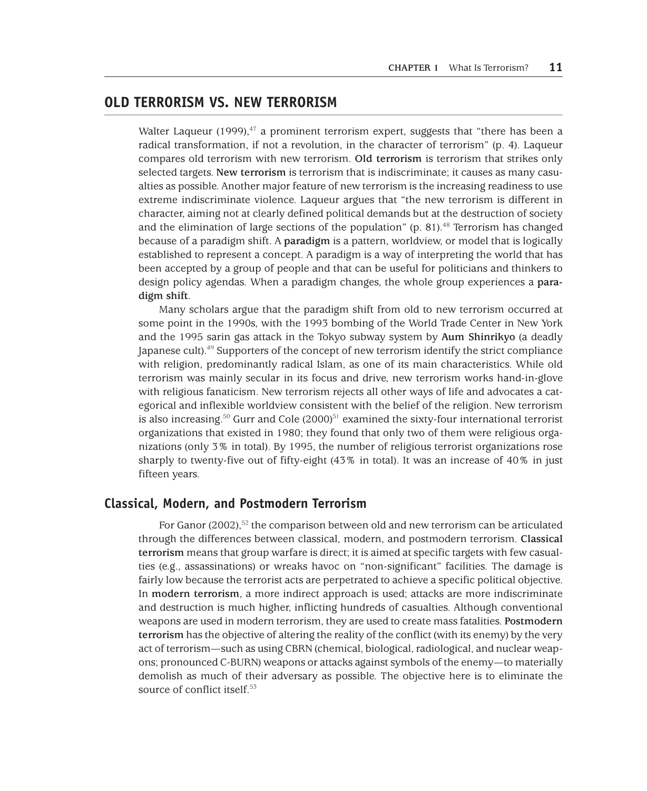## **OLD TERRORISM VS. NEW TERRORISM**

Walter Laqueur (1999), $47$  a prominent terrorism expert, suggests that "there has been a radical transformation, if not a revolution, in the character of terrorism" (p. 4). Laqueur compares old terrorism with new terrorism. **Old terrorism** is terrorism that strikes only selected targets. **New terrorism** is terrorism that is indiscriminate; it causes as many casualties as possible. Another major feature of new terrorism is the increasing readiness to use extreme indiscriminate violence. Laqueur argues that "the new terrorism is different in character, aiming not at clearly defined political demands but at the destruction of society and the elimination of large sections of the population" (p. 81).<sup>48</sup> Terrorism has changed because of a paradigm shift. A **paradigm** is a pattern, worldview, or model that is logically established to represent a concept. A paradigm is a way of interpreting the world that has been accepted by a group of people and that can be useful for politicians and thinkers to design policy agendas. When a paradigm changes, the whole group experiences a **paradigm shift**.

Many scholars argue that the paradigm shift from old to new terrorism occurred at some point in the 1990s, with the 1993 bombing of the World Trade Center in New York and the 1995 sarin gas attack in the Tokyo subway system by **Aum Shinrikyo** (a deadly Japanese cult).<sup>49</sup> Supporters of the concept of new terrorism identify the strict compliance with religion, predominantly radical Islam, as one of its main characteristics. While old terrorism was mainly secular in its focus and drive, new terrorism works hand-in-glove with religious fanaticism. New terrorism rejects all other ways of life and advocates a categorical and inflexible worldview consistent with the belief of the religion. New terrorism is also increasing.<sup>50</sup> Gurr and Cole  $(2000)^{51}$  examined the sixty-four international terrorist organizations that existed in 1980; they found that only two of them were religious organizations (only 3% in total). By 1995, the number of religious terrorist organizations rose sharply to twenty-five out of fifty-eight (43% in total). It was an increase of 40% in just fifteen years.

## **Classical, Modern, and Postmodern Terrorism**

For Ganor  $(2002)$ <sup>52</sup>, the comparison between old and new terrorism can be articulated through the differences between classical, modern, and postmodern terrorism. **Classical terrorism** means that group warfare is direct; it is aimed at specific targets with few casualties (e.g., assassinations) or wreaks havoc on "non-significant" facilities. The damage is fairly low because the terrorist acts are perpetrated to achieve a specific political objective. In **modern terrorism**, a more indirect approach is used; attacks are more indiscriminate and destruction is much higher, inflicting hundreds of casualties. Although conventional weapons are used in modern terrorism, they are used to create mass fatalities. **Postmodern terrorism** has the objective of altering the reality of the conflict (with its enemy) by the very act of terrorism—such as using CBRN (chemical, biological, radiological, and nuclear weapons; pronounced C-BURN) weapons or attacks against symbols of the enemy—to materially demolish as much of their adversary as possible. The objective here is to eliminate the source of conflict itself.<sup>53</sup>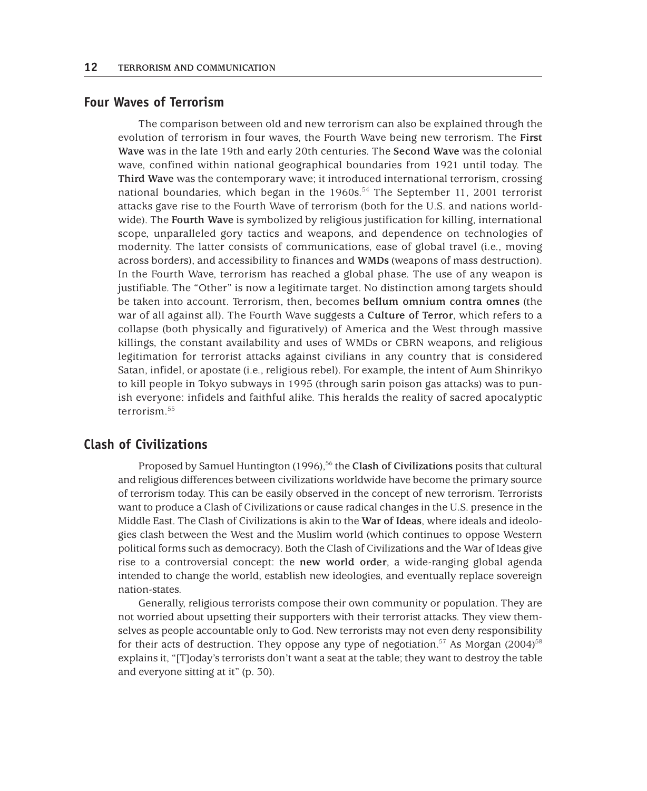## **Four Waves of Terrorism**

The comparison between old and new terrorism can also be explained through the evolution of terrorism in four waves, the Fourth Wave being new terrorism. The **First Wave** was in the late 19th and early 20th centuries. The **Second Wave** was the colonial wave, confined within national geographical boundaries from 1921 until today. The **Third Wave** was the contemporary wave; it introduced international terrorism, crossing national boundaries, which began in the  $1960s<sup>54</sup>$  The September 11, 2001 terrorist attacks gave rise to the Fourth Wave of terrorism (both for the U.S. and nations worldwide). The **Fourth Wave** is symbolized by religious justification for killing, international scope, unparalleled gory tactics and weapons, and dependence on technologies of modernity. The latter consists of communications, ease of global travel (i.e., moving across borders), and accessibility to finances and **WMDs** (weapons of mass destruction). In the Fourth Wave, terrorism has reached a global phase. The use of any weapon is justifiable. The "Other" is now a legitimate target. No distinction among targets should be taken into account. Terrorism, then, becomes **bellum omnium contra omnes** (the war of all against all). The Fourth Wave suggests a **Culture of Terror**, which refers to a collapse (both physically and figuratively) of America and the West through massive killings, the constant availability and uses of WMDs or CBRN weapons, and religious legitimation for terrorist attacks against civilians in any country that is considered Satan, infidel, or apostate (i.e., religious rebel). For example, the intent of Aum Shinrikyo to kill people in Tokyo subways in 1995 (through sarin poison gas attacks) was to punish everyone: infidels and faithful alike. This heralds the reality of sacred apocalyptic terrorism.<sup>55</sup>

## **Clash of Civilizations**

Proposed by Samuel Huntington (1996),<sup>56</sup> the Clash of Civilizations posits that cultural and religious differences between civilizations worldwide have become the primary source of terrorism today. This can be easily observed in the concept of new terrorism. Terrorists want to produce a Clash of Civilizations or cause radical changes in the U.S. presence in the Middle East. The Clash of Civilizations is akin to the **War of Ideas**, where ideals and ideologies clash between the West and the Muslim world (which continues to oppose Western political forms such as democracy). Both the Clash of Civilizations and the War of Ideas give rise to a controversial concept: the **new world order**, a wide-ranging global agenda intended to change the world, establish new ideologies, and eventually replace sovereign nation-states.

Generally, religious terrorists compose their own community or population. They are not worried about upsetting their supporters with their terrorist attacks. They view themselves as people accountable only to God. New terrorists may not even deny responsibility for their acts of destruction. They oppose any type of negotiation.<sup>57</sup> As Morgan (2004)<sup>58</sup> explains it, "[T]oday's terrorists don't want a seat at the table; they want to destroy the table and everyone sitting at it" (p. 30).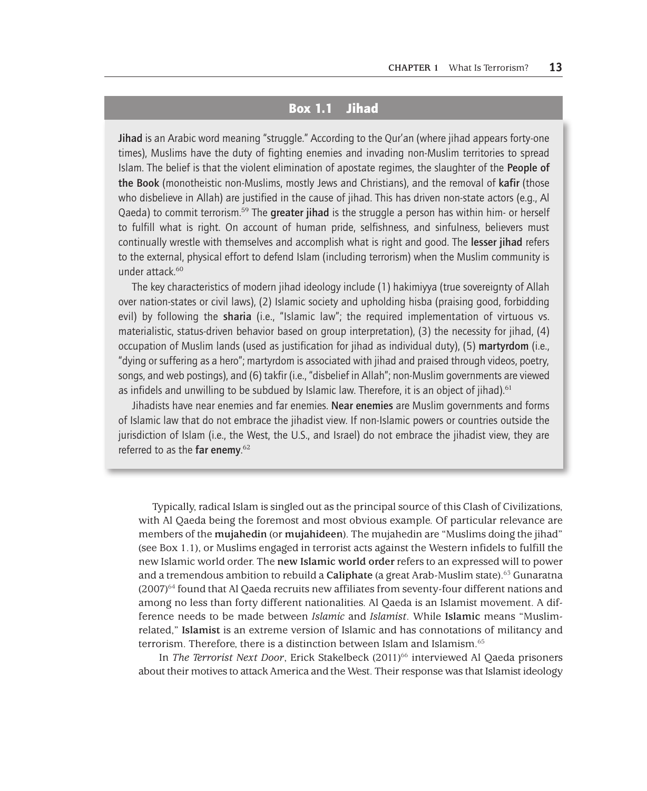# Box 1.1 Jihad

Jihad is an Arabic word meaning "struggle." According to the Qur'an (where jihad appears forty-one times), Muslims have the duty of fighting enemies and invading non-Muslim territories to spread Islam. The belief is that the violent elimination of apostate regimes, the slaughter of the People of the Book (monotheistic non-Muslims, mostly Jews and Christians), and the removal of kafir (those who disbelieve in Allah) are justified in the cause of jihad. This has driven non-state actors (e.g., Al Qaeda) to commit terrorism.<sup>59</sup> The **greater jihad** is the struggle a person has within him- or herself to fulfill what is right. On account of human pride, selfishness, and sinfulness, believers must continually wrestle with themselves and accomplish what is right and good. The lesser jihad refers to the external, physical effort to defend Islam (including terrorism) when the Muslim community is under attack.<sup>60</sup>

The key characteristics of modern jihad ideology include (1) hakimiyya (true sovereignty of Allah over nation-states or civil laws), (2) Islamic society and upholding hisba (praising good, forbidding evil) by following the sharia (i.e., "Islamic law"; the required implementation of virtuous vs. materialistic, status-driven behavior based on group interpretation), (3) the necessity for jihad, (4) occupation of Muslim lands (used as justification for jihad as individual duty), (5) martyrdom (i.e., "dying or suffering as a hero"; martyrdom is associated with jihad and praised through videos, poetry, songs, and web postings), and (6) takfir (i.e., "disbelief in Allah"; non-Muslim governments are viewed as infidels and unwilling to be subdued by Islamic law. Therefore, it is an object of jihad).<sup>61</sup>

Jihadists have near enemies and far enemies. Near enemies are Muslim governments and forms of Islamic law that do not embrace the jihadist view. If non-Islamic powers or countries outside the jurisdiction of Islam (i.e., the West, the U.S., and Israel) do not embrace the jihadist view, they are referred to as the far enemy.<sup>62</sup>

Typically, radical Islam is singled out as the principal source of this Clash of Civilizations, with Al Qaeda being the foremost and most obvious example. Of particular relevance are members of the **mujahedin** (or **mujahideen**). The mujahedin are "Muslims doing the jihad" (see Box 1.1), or Muslims engaged in terrorist acts against the Western infidels to fulfill the new Islamic world order. The **new Islamic world order** refers to an expressed will to power and a tremendous ambition to rebuild a **Caliphate** (a great Arab-Muslim state).<sup>65</sup> Gunaratna  $(2007)^{64}$  found that Al Qaeda recruits new affiliates from seventy-four different nations and among no less than forty different nationalities. Al Qaeda is an Islamist movement. A difference needs to be made between *Islamic* and *Islamist*. While **Islamic** means "Muslimrelated," **Islamist** is an extreme version of Islamic and has connotations of militancy and terrorism. Therefore, there is a distinction between Islam and Islamism.<sup>65</sup>

In *The Terrorist Next Door*, Erick Stakelbeck (2011)<sup>66</sup> interviewed Al Qaeda prisoners about their motives to attack America and the West. Their response was that Islamist ideology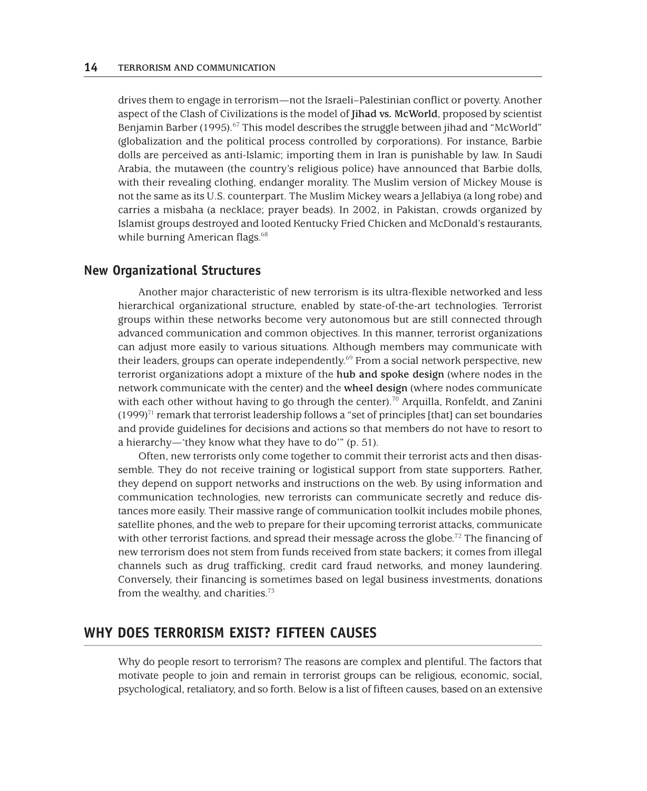drives them to engage in terrorism—not the Israeli–Palestinian conflict or poverty. Another aspect of the Clash of Civilizations is the model of **Jihad vs. McWorld**, proposed by scientist Benjamin Barber (1995).<sup>67</sup> This model describes the struggle between jihad and "McWorld" (globalization and the political process controlled by corporations). For instance, Barbie dolls are perceived as anti-Islamic; importing them in Iran is punishable by law. In Saudi Arabia, the mutaween (the country's religious police) have announced that Barbie dolls, with their revealing clothing, endanger morality. The Muslim version of Mickey Mouse is not the same as its U.S. counterpart. The Muslim Mickey wears a Jellabiya (a long robe) and carries a misbaha (a necklace; prayer beads). In 2002, in Pakistan, crowds organized by Islamist groups destroyed and looted Kentucky Fried Chicken and McDonald's restaurants, while burning American flags.<sup>68</sup>

## **New Organizational Structures**

Another major characteristic of new terrorism is its ultra-flexible networked and less hierarchical organizational structure, enabled by state-of-the-art technologies. Terrorist groups within these networks become very autonomous but are still connected through advanced communication and common objectives. In this manner, terrorist organizations can adjust more easily to various situations. Although members may communicate with their leaders, groups can operate independently.<sup>69</sup> From a social network perspective, new terrorist organizations adopt a mixture of the **hub and spoke design** (where nodes in the network communicate with the center) and the **wheel design** (where nodes communicate with each other without having to go through the center).<sup>70</sup> Arquilla, Ronfeldt, and Zanini  $(1999)^{7}$  remark that terrorist leadership follows a "set of principles [that] can set boundaries and provide guidelines for decisions and actions so that members do not have to resort to a hierarchy—'they know what they have to do'" (p. 51).

Often, new terrorists only come together to commit their terrorist acts and then disassemble. They do not receive training or logistical support from state supporters. Rather, they depend on support networks and instructions on the web. By using information and communication technologies, new terrorists can communicate secretly and reduce distances more easily. Their massive range of communication toolkit includes mobile phones, satellite phones, and the web to prepare for their upcoming terrorist attacks, communicate with other terrorist factions, and spread their message across the globe.<sup>72</sup> The financing of new terrorism does not stem from funds received from state backers; it comes from illegal channels such as drug trafficking, credit card fraud networks, and money laundering. Conversely, their financing is sometimes based on legal business investments, donations from the wealthy, and charities. $73$ 

## **WHY DOES TERRORISM EXIST? FIFTEEN CAUSES**

Why do people resort to terrorism? The reasons are complex and plentiful. The factors that motivate people to join and remain in terrorist groups can be religious, economic, social, psychological, retaliatory, and so forth. Below is a list of fifteen causes, based on an extensive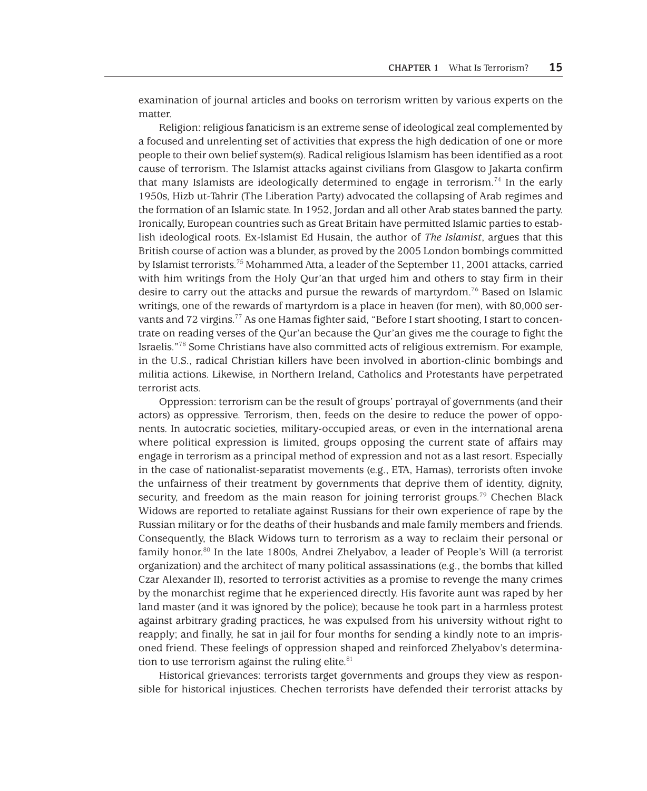examination of journal articles and books on terrorism written by various experts on the matter.

Religion: religious fanaticism is an extreme sense of ideological zeal complemented by a focused and unrelenting set of activities that express the high dedication of one or more people to their own belief system(s). Radical religious Islamism has been identified as a root cause of terrorism. The Islamist attacks against civilians from Glasgow to Jakarta confirm that many Islamists are ideologically determined to engage in terrorism.<sup>74</sup> In the early 1950s, Hizb ut-Tahrir (The Liberation Party) advocated the collapsing of Arab regimes and the formation of an Islamic state. In 1952, Jordan and all other Arab states banned the party. Ironically, European countries such as Great Britain have permitted Islamic parties to establish ideological roots. Ex-Islamist Ed Husain, the author of *The Islamist*, argues that this British course of action was a blunder, as proved by the 2005 London bombings committed by Islamist terrorists.<sup>75</sup> Mohammed Atta, a leader of the September 11, 2001 attacks, carried with him writings from the Holy Qur'an that urged him and others to stay firm in their desire to carry out the attacks and pursue the rewards of martyrdom.<sup>76</sup> Based on Islamic writings, one of the rewards of martyrdom is a place in heaven (for men), with 80,000 servants and 72 virgins.<sup>77</sup> As one Hamas fighter said, "Before I start shooting, I start to concentrate on reading verses of the Qur'an because the Qur'an gives me the courage to fight the Israelis."<sup>78</sup> Some Christians have also committed acts of religious extremism. For example, in the U.S., radical Christian killers have been involved in abortion-clinic bombings and militia actions. Likewise, in Northern Ireland, Catholics and Protestants have perpetrated terrorist acts.

Oppression: terrorism can be the result of groups' portrayal of governments (and their actors) as oppressive. Terrorism, then, feeds on the desire to reduce the power of opponents. In autocratic societies, military-occupied areas, or even in the international arena where political expression is limited, groups opposing the current state of affairs may engage in terrorism as a principal method of expression and not as a last resort. Especially in the case of nationalist-separatist movements (e.g., ETA, Hamas), terrorists often invoke the unfairness of their treatment by governments that deprive them of identity, dignity, security, and freedom as the main reason for joining terrorist groups.<sup>79</sup> Chechen Black Widows are reported to retaliate against Russians for their own experience of rape by the Russian military or for the deaths of their husbands and male family members and friends. Consequently, the Black Widows turn to terrorism as a way to reclaim their personal or family honor.<sup>80</sup> In the late 1800s, Andrei Zhelyabov, a leader of People's Will (a terrorist organization) and the architect of many political assassinations (e.g., the bombs that killed Czar Alexander II), resorted to terrorist activities as a promise to revenge the many crimes by the monarchist regime that he experienced directly. His favorite aunt was raped by her land master (and it was ignored by the police); because he took part in a harmless protest against arbitrary grading practices, he was expulsed from his university without right to reapply; and finally, he sat in jail for four months for sending a kindly note to an imprisoned friend. These feelings of oppression shaped and reinforced Zhelyabov's determination to use terrorism against the ruling elite. $81$ 

Historical grievances: terrorists target governments and groups they view as responsible for historical injustices. Chechen terrorists have defended their terrorist attacks by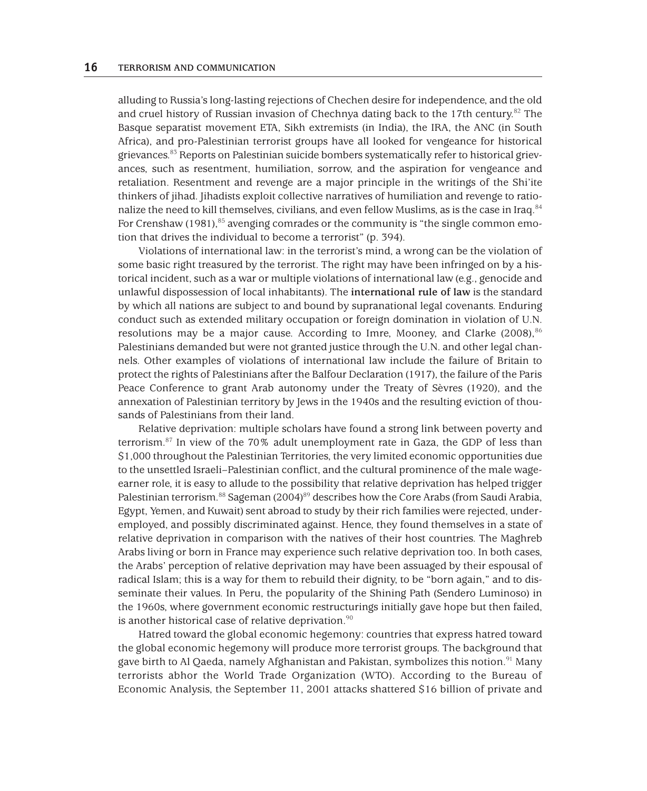alluding to Russia's long-lasting rejections of Chechen desire for independence, and the old and cruel history of Russian invasion of Chechnya dating back to the 17th century.<sup>82</sup> The Basque separatist movement ETA, Sikh extremists (in India), the IRA, the ANC (in South Africa), and pro-Palestinian terrorist groups have all looked for vengeance for historical grievances.<sup>83</sup> Reports on Palestinian suicide bombers systematically refer to historical grievances, such as resentment, humiliation, sorrow, and the aspiration for vengeance and retaliation. Resentment and revenge are a major principle in the writings of the Shi'ite thinkers of jihad. Jihadists exploit collective narratives of humiliation and revenge to rationalize the need to kill themselves, civilians, and even fellow Muslims, as is the case in Iraq.<sup>84</sup> For Crenshaw (1981),  $85$  avenging comrades or the community is "the single common emotion that drives the individual to become a terrorist" (p. 394).

Violations of international law: in the terrorist's mind, a wrong can be the violation of some basic right treasured by the terrorist. The right may have been infringed on by a historical incident, such as a war or multiple violations of international law (e.g., genocide and unlawful dispossession of local inhabitants). The **international rule of law** is the standard by which all nations are subject to and bound by supranational legal covenants. Enduring conduct such as extended military occupation or foreign domination in violation of U.N. resolutions may be a major cause. According to Imre, Mooney, and Clarke (2008), $86$ Palestinians demanded but were not granted justice through the U.N. and other legal channels. Other examples of violations of international law include the failure of Britain to protect the rights of Palestinians after the Balfour Declaration (1917), the failure of the Paris Peace Conference to grant Arab autonomy under the Treaty of Sèvres (1920), and the annexation of Palestinian territory by Jews in the 1940s and the resulting eviction of thousands of Palestinians from their land.

Relative deprivation: multiple scholars have found a strong link between poverty and terrorism.<sup>87</sup> In view of the 70% adult unemployment rate in Gaza, the GDP of less than \$1,000 throughout the Palestinian Territories, the very limited economic opportunities due to the unsettled Israeli–Palestinian conflict, and the cultural prominence of the male wageearner role, it is easy to allude to the possibility that relative deprivation has helped trigger Palestinian terrorism.<sup>88</sup> Sageman (2004)<sup>89</sup> describes how the Core Arabs (from Saudi Arabia, Egypt, Yemen, and Kuwait) sent abroad to study by their rich families were rejected, underemployed, and possibly discriminated against. Hence, they found themselves in a state of relative deprivation in comparison with the natives of their host countries. The Maghreb Arabs living or born in France may experience such relative deprivation too. In both cases, the Arabs' perception of relative deprivation may have been assuaged by their espousal of radical Islam; this is a way for them to rebuild their dignity, to be "born again," and to disseminate their values. In Peru, the popularity of the Shining Path (Sendero Luminoso) in the 1960s, where government economic restructurings initially gave hope but then failed, is another historical case of relative deprivation.<sup>90</sup>

Hatred toward the global economic hegemony: countries that express hatred toward the global economic hegemony will produce more terrorist groups. The background that gave birth to Al Qaeda, namely Afghanistan and Pakistan, symbolizes this notion.<sup>91</sup> Many terrorists abhor the World Trade Organization (WTO). According to the Bureau of Economic Analysis, the September 11, 2001 attacks shattered \$16 billion of private and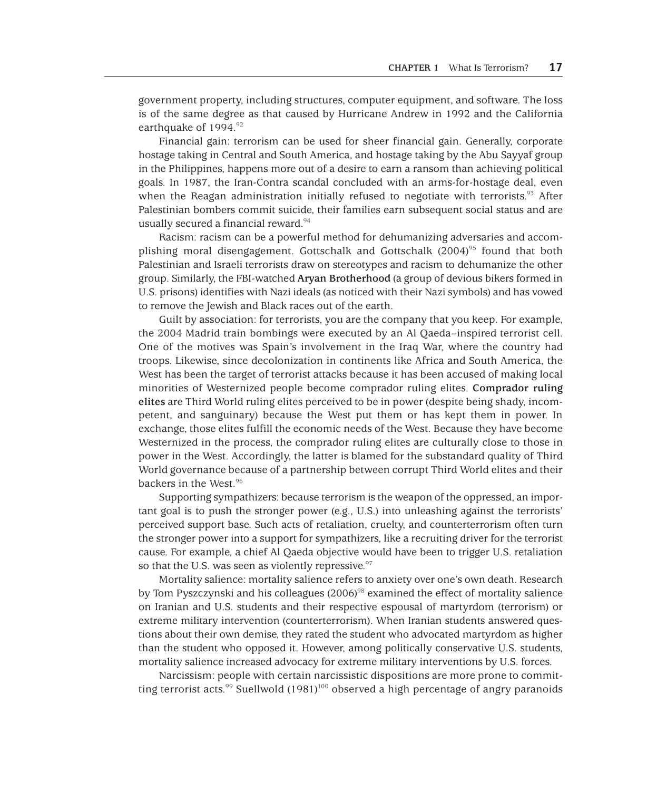government property, including structures, computer equipment, and software. The loss is of the same degree as that caused by Hurricane Andrew in 1992 and the California earthquake of 1994.92

Financial gain: terrorism can be used for sheer financial gain. Generally, corporate hostage taking in Central and South America, and hostage taking by the Abu Sayyaf group in the Philippines, happens more out of a desire to earn a ransom than achieving political goals. In 1987, the Iran-Contra scandal concluded with an arms-for-hostage deal, even when the Reagan administration initially refused to negotiate with terrorists.<sup>93</sup> After Palestinian bombers commit suicide, their families earn subsequent social status and are usually secured a financial reward.<sup>94</sup>

Racism: racism can be a powerful method for dehumanizing adversaries and accomplishing moral disengagement. Gottschalk and Gottschalk (2004)<sup>95</sup> found that both Palestinian and Israeli terrorists draw on stereotypes and racism to dehumanize the other group. Similarly, the FBI-watched **Aryan Brotherhood** (a group of devious bikers formed in U.S. prisons) identifies with Nazi ideals (as noticed with their Nazi symbols) and has vowed to remove the Jewish and Black races out of the earth.

Guilt by association: for terrorists, you are the company that you keep. For example, the 2004 Madrid train bombings were executed by an Al Qaeda–inspired terrorist cell. One of the motives was Spain's involvement in the Iraq War, where the country had troops. Likewise, since decolonization in continents like Africa and South America, the West has been the target of terrorist attacks because it has been accused of making local minorities of Westernized people become comprador ruling elites. **Comprador ruling elites** are Third World ruling elites perceived to be in power (despite being shady, incompetent, and sanguinary) because the West put them or has kept them in power. In exchange, those elites fulfill the economic needs of the West. Because they have become Westernized in the process, the comprador ruling elites are culturally close to those in power in the West. Accordingly, the latter is blamed for the substandard quality of Third World governance because of a partnership between corrupt Third World elites and their backers in the West.<sup>96</sup>

Supporting sympathizers: because terrorism is the weapon of the oppressed, an important goal is to push the stronger power (e.g., U.S.) into unleashing against the terrorists' perceived support base. Such acts of retaliation, cruelty, and counterterrorism often turn the stronger power into a support for sympathizers, like a recruiting driver for the terrorist cause. For example, a chief Al Qaeda objective would have been to trigger U.S. retaliation so that the U.S. was seen as violently repressive.  $97$ 

Mortality salience: mortality salience refers to anxiety over one's own death. Research by Tom Pyszczynski and his colleagues (2006)<sup>98</sup> examined the effect of mortality salience on Iranian and U.S. students and their respective espousal of martyrdom (terrorism) or extreme military intervention (counterterrorism). When Iranian students answered questions about their own demise, they rated the student who advocated martyrdom as higher than the student who opposed it. However, among politically conservative U.S. students, mortality salience increased advocacy for extreme military interventions by U.S. forces.

Narcissism: people with certain narcissistic dispositions are more prone to committing terrorist acts.<sup>99</sup> Suellwold  $(1981)^{100}$  observed a high percentage of angry paranoids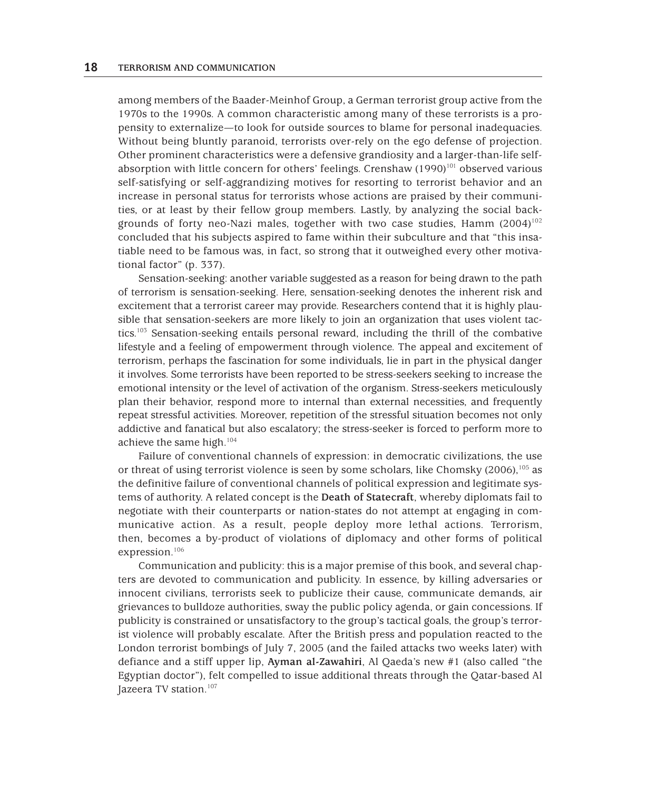among members of the Baader-Meinhof Group, a German terrorist group active from the 1970s to the 1990s. A common characteristic among many of these terrorists is a propensity to externalize—to look for outside sources to blame for personal inadequacies. Without being bluntly paranoid, terrorists over-rely on the ego defense of projection. Other prominent characteristics were a defensive grandiosity and a larger-than-life selfabsorption with little concern for others' feelings. Crenshaw  $(1990)^{101}$  observed various self-satisfying or self-aggrandizing motives for resorting to terrorist behavior and an increase in personal status for terrorists whose actions are praised by their communities, or at least by their fellow group members. Lastly, by analyzing the social backgrounds of forty neo-Nazi males, together with two case studies, Hamm  $(2004)^{102}$ concluded that his subjects aspired to fame within their subculture and that "this insatiable need to be famous was, in fact, so strong that it outweighed every other motivational factor" (p. 337).

Sensation-seeking: another variable suggested as a reason for being drawn to the path of terrorism is sensation-seeking. Here, sensation-seeking denotes the inherent risk and excitement that a terrorist career may provide. Researchers contend that it is highly plausible that sensation-seekers are more likely to join an organization that uses violent tactics.<sup>103</sup> Sensation-seeking entails personal reward, including the thrill of the combative lifestyle and a feeling of empowerment through violence. The appeal and excitement of terrorism, perhaps the fascination for some individuals, lie in part in the physical danger it involves. Some terrorists have been reported to be stress-seekers seeking to increase the emotional intensity or the level of activation of the organism. Stress-seekers meticulously plan their behavior, respond more to internal than external necessities, and frequently repeat stressful activities. Moreover, repetition of the stressful situation becomes not only addictive and fanatical but also escalatory; the stress-seeker is forced to perform more to achieve the same high.<sup>104</sup>

Failure of conventional channels of expression: in democratic civilizations, the use or threat of using terrorist violence is seen by some scholars, like Chomsky  $(2006)^{105}$  as the definitive failure of conventional channels of political expression and legitimate systems of authority. A related concept is the **Death of Statecraft**, whereby diplomats fail to negotiate with their counterparts or nation-states do not attempt at engaging in communicative action. As a result, people deploy more lethal actions. Terrorism, then, becomes a by-product of violations of diplomacy and other forms of political expression.<sup>106</sup>

Communication and publicity: this is a major premise of this book, and several chapters are devoted to communication and publicity. In essence, by killing adversaries or innocent civilians, terrorists seek to publicize their cause, communicate demands, air grievances to bulldoze authorities, sway the public policy agenda, or gain concessions. If publicity is constrained or unsatisfactory to the group's tactical goals, the group's terrorist violence will probably escalate. After the British press and population reacted to the London terrorist bombings of July 7, 2005 (and the failed attacks two weeks later) with defiance and a stiff upper lip, **Ayman al-Zawahiri**, Al Qaeda's new #1 (also called "the Egyptian doctor"), felt compelled to issue additional threats through the Qatar-based Al Jazeera TV station.<sup>107</sup>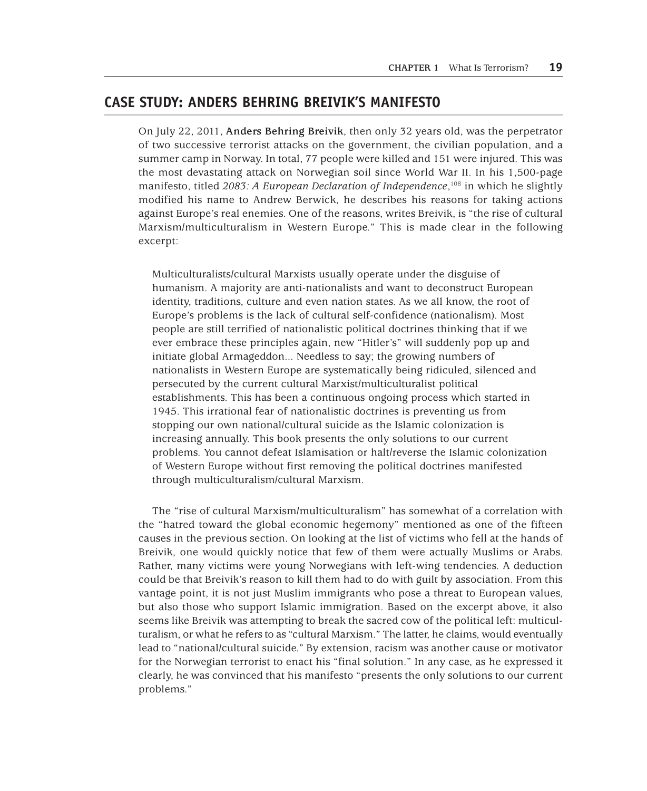# **CASE STUDY: ANDERS BEHRING BREIVIK'S MANIFESTO**

On July 22, 2011, **Anders Behring Breivik**, then only 32 years old, was the perpetrator of two successive terrorist attacks on the government, the civilian population, and a summer camp in Norway. In total, 77 people were killed and 151 were injured. This was the most devastating attack on Norwegian soil since World War II. In his 1,500-page manifesto, titled *2083: A European Declaration of Independence*, <sup>108</sup> in which he slightly modified his name to Andrew Berwick, he describes his reasons for taking actions against Europe's real enemies. One of the reasons, writes Breivik, is "the rise of cultural Marxism/multiculturalism in Western Europe." This is made clear in the following excerpt:

Multiculturalists/cultural Marxists usually operate under the disguise of humanism. A majority are anti-nationalists and want to deconstruct European identity, traditions, culture and even nation states. As we all know, the root of Europe's problems is the lack of cultural self-confidence (nationalism). Most people are still terrified of nationalistic political doctrines thinking that if we ever embrace these principles again, new "Hitler's" will suddenly pop up and initiate global Armageddon... Needless to say; the growing numbers of nationalists in Western Europe are systematically being ridiculed, silenced and persecuted by the current cultural Marxist/multiculturalist political establishments. This has been a continuous ongoing process which started in 1945. This irrational fear of nationalistic doctrines is preventing us from stopping our own national/cultural suicide as the Islamic colonization is increasing annually. This book presents the only solutions to our current problems. You cannot defeat Islamisation or halt/reverse the Islamic colonization of Western Europe without first removing the political doctrines manifested through multiculturalism/cultural Marxism.

The "rise of cultural Marxism/multiculturalism" has somewhat of a correlation with the "hatred toward the global economic hegemony" mentioned as one of the fifteen causes in the previous section. On looking at the list of victims who fell at the hands of Breivik, one would quickly notice that few of them were actually Muslims or Arabs. Rather, many victims were young Norwegians with left-wing tendencies. A deduction could be that Breivik's reason to kill them had to do with guilt by association. From this vantage point, it is not just Muslim immigrants who pose a threat to European values, but also those who support Islamic immigration. Based on the excerpt above, it also seems like Breivik was attempting to break the sacred cow of the political left: multiculturalism, or what he refers to as "cultural Marxism." The latter, he claims, would eventually lead to "national/cultural suicide." By extension, racism was another cause or motivator for the Norwegian terrorist to enact his "final solution." In any case, as he expressed it clearly, he was convinced that his manifesto "presents the only solutions to our current problems."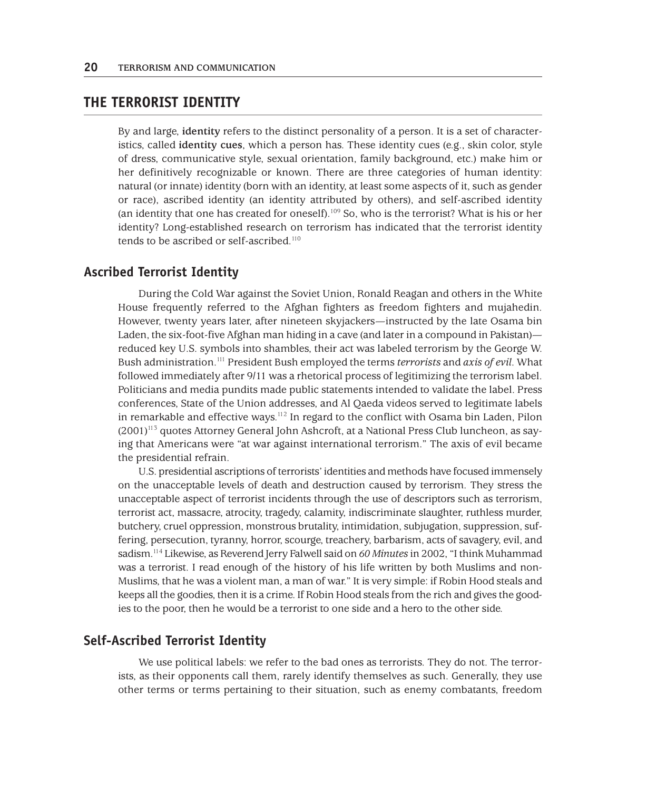# **THE TERRORIST IDENTITY**

By and large, **identity** refers to the distinct personality of a person. It is a set of characteristics, called **identity cues**, which a person has. These identity cues (e.g., skin color, style of dress, communicative style, sexual orientation, family background, etc.) make him or her definitively recognizable or known. There are three categories of human identity: natural (or innate) identity (born with an identity, at least some aspects of it, such as gender or race), ascribed identity (an identity attributed by others), and self-ascribed identity (an identity that one has created for oneself).<sup>109</sup> So, who is the terrorist? What is his or her identity? Long-established research on terrorism has indicated that the terrorist identity tends to be ascribed or self-ascribed.<sup>110</sup>

## **Ascribed Terrorist Identity**

During the Cold War against the Soviet Union, Ronald Reagan and others in the White House frequently referred to the Afghan fighters as freedom fighters and mujahedin. However, twenty years later, after nineteen skyjackers—instructed by the late Osama bin Laden, the six-foot-five Afghan man hiding in a cave (and later in a compound in Pakistan) reduced key U.S. symbols into shambles, their act was labeled terrorism by the George W. Bush administration.<sup>111</sup> President Bush employed the terms *terrorists* and *axis of evil*. What followed immediately after 9/11 was a rhetorical process of legitimizing the terrorism label. Politicians and media pundits made public statements intended to validate the label. Press conferences, State of the Union addresses, and Al Qaeda videos served to legitimate labels in remarkable and effective ways.<sup>112</sup> In regard to the conflict with Osama bin Laden, Pilon  $(2001)^{113}$  quotes Attorney General John Ashcroft, at a National Press Club luncheon, as saying that Americans were "at war against international terrorism." The axis of evil became the presidential refrain.

U.S. presidential ascriptions of terrorists' identities and methods have focused immensely on the unacceptable levels of death and destruction caused by terrorism. They stress the unacceptable aspect of terrorist incidents through the use of descriptors such as terrorism, terrorist act, massacre, atrocity, tragedy, calamity, indiscriminate slaughter, ruthless murder, butchery, cruel oppression, monstrous brutality, intimidation, subjugation, suppression, suffering, persecution, tyranny, horror, scourge, treachery, barbarism, acts of savagery, evil, and sadism.<sup>114</sup> Likewise, as Reverend Jerry Falwell said on *60 Minutes* in 2002, "I think Muhammad was a terrorist. I read enough of the history of his life written by both Muslims and non-Muslims, that he was a violent man, a man of war." It is very simple: if Robin Hood steals and keeps all the goodies, then it is a crime. If Robin Hood steals from the rich and gives the goodies to the poor, then he would be a terrorist to one side and a hero to the other side.

## **Self-Ascribed Terrorist Identity**

We use political labels: we refer to the bad ones as terrorists. They do not. The terrorists, as their opponents call them, rarely identify themselves as such. Generally, they use other terms or terms pertaining to their situation, such as enemy combatants, freedom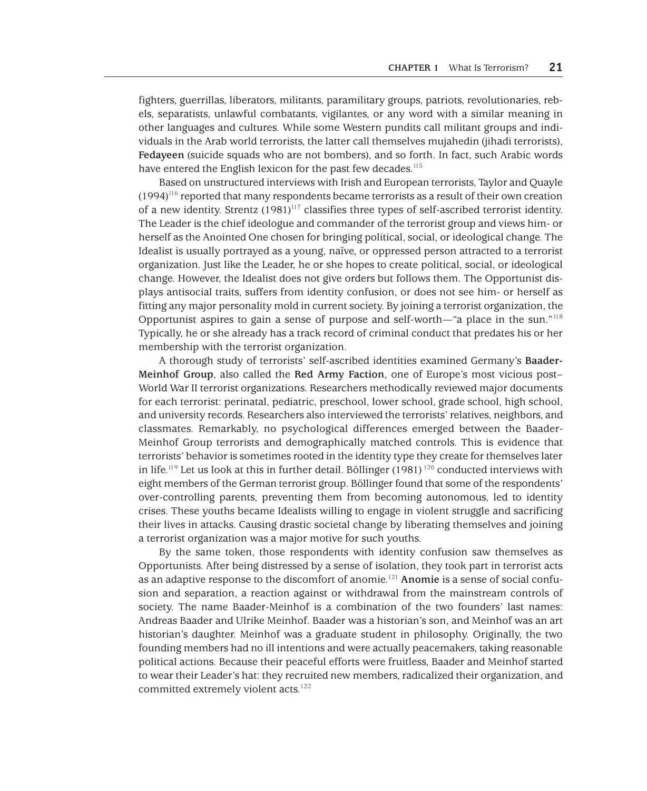fighters, guerrillas, liberators, militants, paramilitary groups, patriots, revolutionaries, rebels, separatists, unlawful combatants, vigilantes, or any word with a similar meaning in other languages and cultures. While some Western pundits call militant groups and individuals in the Arab world terrorists, the latter call themselves mujahedin (jihadi terrorists), **Fedayeen** (suicide squads who are not bombers), and so forth. In fact, such Arabic words have entered the English lexicon for the past few decades.<sup>115</sup>

Based on unstructured interviews with Irish and European terrorists, Taylor and Quayle  $(1994)^{116}$  reported that many respondents became terrorists as a result of their own creation of a new identity. Strentz  $(1981)^{117}$  classifies three types of self-ascribed terrorist identity. The Leader is the chief ideologue and commander of the terrorist group and views him- or herself as the Anointed One chosen for bringing political, social, or ideological change. The Idealist is usually portrayed as a young, naïve, or oppressed person attracted to a terrorist organization. Just like the Leader, he or she hopes to create political, social, or ideological change. However, the Idealist does not give orders but follows them. The Opportunist displays antisocial traits, suffers from identity confusion, or does not see him- or herself as fitting any major personality mold in current society. By joining a terrorist organization, the Opportunist aspires to gain a sense of purpose and self-worth—"a place in the sun."<sup>118</sup> Typically, he or she already has a track record of criminal conduct that predates his or her membership with the terrorist organization.

A thorough study of terrorists' self-ascribed identities examined Germany's **Baader-Meinhof Group**, also called the **Red Army Faction**, one of Europe's most vicious post– World War II terrorist organizations. Researchers methodically reviewed major documents for each terrorist: perinatal, pediatric, preschool, lower school, grade school, high school, and university records. Researchers also interviewed the terrorists' relatives, neighbors, and classmates. Remarkably, no psychological differences emerged between the Baader-Meinhof Group terrorists and demographically matched controls. This is evidence that terrorists' behavior is sometimes rooted in the identity type they create for themselves later in life.<sup>119</sup> Let us look at this in further detail. Böllinger (1981)<sup>120</sup> conducted interviews with eight members of the German terrorist group. Böllinger found that some of the respondents' over-controlling parents, preventing them from becoming autonomous, led to identity crises. These youths became Idealists willing to engage in violent struggle and sacrificing their lives in attacks. Causing drastic societal change by liberating themselves and joining a terrorist organization was a major motive for such youths.

By the same token, those respondents with identity confusion saw themselves as Opportunists. After being distressed by a sense of isolation, they took part in terrorist acts as an adaptive response to the discomfort of anomie.<sup>121</sup> **Anomie** is a sense of social confusion and separation, a reaction against or withdrawal from the mainstream controls of society. The name Baader-Meinhof is a combination of the two founders' last names: Andreas Baader and Ulrike Meinhof. Baader was a historian's son, and Meinhof was an art historian's daughter. Meinhof was a graduate student in philosophy. Originally, the two founding members had no ill intentions and were actually peacemakers, taking reasonable political actions. Because their peaceful efforts were fruitless, Baader and Meinhof started to wear their Leader's hat: they recruited new members, radicalized their organization, and committed extremely violent acts.<sup>122</sup>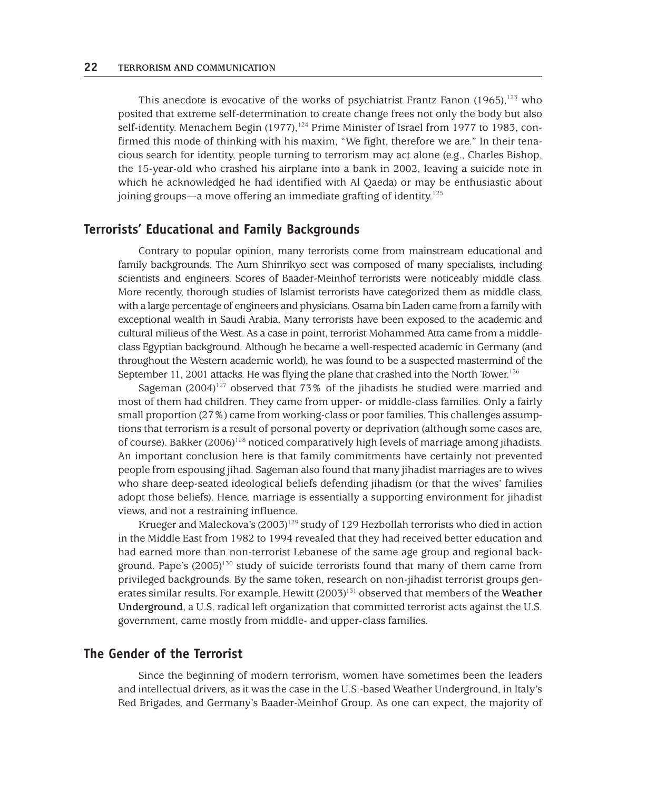This anecdote is evocative of the works of psychiatrist Frantz Fanon  $(1965)^{123}$  who posited that extreme self-determination to create change frees not only the body but also self-identity. Menachem Begin  $(1977)^{124}$  Prime Minister of Israel from 1977 to 1983, confirmed this mode of thinking with his maxim, "We fight, therefore we are." In their tenacious search for identity, people turning to terrorism may act alone (e.g., Charles Bishop, the 15-year-old who crashed his airplane into a bank in 2002, leaving a suicide note in which he acknowledged he had identified with Al Qaeda) or may be enthusiastic about joining groups—a move offering an immediate grafting of identity.<sup>125</sup>

## **Terrorists' Educational and Family Backgrounds**

Contrary to popular opinion, many terrorists come from mainstream educational and family backgrounds. The Aum Shinrikyo sect was composed of many specialists, including scientists and engineers. Scores of Baader-Meinhof terrorists were noticeably middle class. More recently, thorough studies of Islamist terrorists have categorized them as middle class, with a large percentage of engineers and physicians. Osama bin Laden came from a family with exceptional wealth in Saudi Arabia. Many terrorists have been exposed to the academic and cultural milieus of the West. As a case in point, terrorist Mohammed Atta came from a middleclass Egyptian background. Although he became a well-respected academic in Germany (and throughout the Western academic world), he was found to be a suspected mastermind of the September 11, 2001 attacks. He was flying the plane that crashed into the North Tower.<sup>126</sup>

Sageman  $(2004)^{127}$  observed that 73% of the jihadists he studied were married and most of them had children. They came from upper- or middle-class families. Only a fairly small proportion (27%) came from working-class or poor families. This challenges assumptions that terrorism is a result of personal poverty or deprivation (although some cases are, of course). Bakker  $(2006)^{128}$  noticed comparatively high levels of marriage among jihadists. An important conclusion here is that family commitments have certainly not prevented people from espousing jihad. Sageman also found that many jihadist marriages are to wives who share deep-seated ideological beliefs defending jihadism (or that the wives' families adopt those beliefs). Hence, marriage is essentially a supporting environment for jihadist views, and not a restraining influence.

Krueger and Maleckova's  $(2003)^{129}$  study of 129 Hezbollah terrorists who died in action in the Middle East from 1982 to 1994 revealed that they had received better education and had earned more than non-terrorist Lebanese of the same age group and regional background. Pape's  $(2005)^{150}$  study of suicide terrorists found that many of them came from privileged backgrounds. By the same token, research on non-jihadist terrorist groups generates similar results. For example, Hewitt (2003)<sup>131</sup> observed that members of the Weather **Underground**, a U.S. radical left organization that committed terrorist acts against the U.S. government, came mostly from middle- and upper-class families.

## **The Gender of the Terrorist**

Since the beginning of modern terrorism, women have sometimes been the leaders and intellectual drivers, as it was the case in the U.S.-based Weather Underground, in Italy's Red Brigades, and Germany's Baader-Meinhof Group. As one can expect, the majority of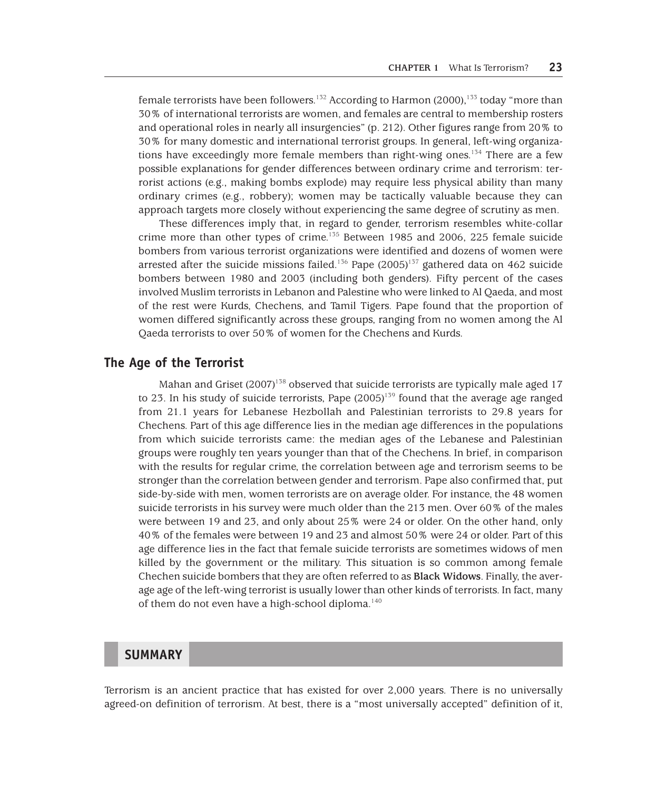female terrorists have been followers.<sup>132</sup> According to Harmon (2000),<sup>133</sup> today "more than 30% of international terrorists are women, and females are central to membership rosters and operational roles in nearly all insurgencies" (p. 212). Other figures range from 20% to 30% for many domestic and international terrorist groups. In general, left-wing organizations have exceedingly more female members than right-wing ones.<sup>134</sup> There are a few possible explanations for gender differences between ordinary crime and terrorism: terrorist actions (e.g., making bombs explode) may require less physical ability than many ordinary crimes (e.g., robbery); women may be tactically valuable because they can approach targets more closely without experiencing the same degree of scrutiny as men.

These differences imply that, in regard to gender, terrorism resembles white-collar crime more than other types of crime.<sup>135</sup> Between 1985 and 2006, 225 female suicide bombers from various terrorist organizations were identified and dozens of women were arrested after the suicide missions failed.<sup>136</sup> Pape  $(2005)^{137}$  gathered data on 462 suicide bombers between 1980 and 2003 (including both genders). Fifty percent of the cases involved Muslim terrorists in Lebanon and Palestine who were linked to Al Qaeda, and most of the rest were Kurds, Chechens, and Tamil Tigers. Pape found that the proportion of women differed significantly across these groups, ranging from no women among the Al Qaeda terrorists to over 50% of women for the Chechens and Kurds.

## **The Age of the Terrorist**

Mahan and Griset  $(2007)^{138}$  observed that suicide terrorists are typically male aged 17 to 23. In his study of suicide terrorists, Pape  $(2005)^{139}$  found that the average age ranged from 21.1 years for Lebanese Hezbollah and Palestinian terrorists to 29.8 years for Chechens. Part of this age difference lies in the median age differences in the populations from which suicide terrorists came: the median ages of the Lebanese and Palestinian groups were roughly ten years younger than that of the Chechens. In brief, in comparison with the results for regular crime, the correlation between age and terrorism seems to be stronger than the correlation between gender and terrorism. Pape also confirmed that, put side-by-side with men, women terrorists are on average older. For instance, the 48 women suicide terrorists in his survey were much older than the 213 men. Over 60% of the males were between 19 and 23, and only about 25% were 24 or older. On the other hand, only 40% of the females were between 19 and 23 and almost 50% were 24 or older. Part of this age difference lies in the fact that female suicide terrorists are sometimes widows of men killed by the government or the military. This situation is so common among female Chechen suicide bombers that they are often referred to as **Black Widows**. Finally, the average age of the left-wing terrorist is usually lower than other kinds of terrorists. In fact, many of them do not even have a high-school diploma.<sup>140</sup>

# **SUMMARY**

Terrorism is an ancient practice that has existed for over 2,000 years. There is no universally agreed-on definition of terrorism. At best, there is a "most universally accepted" definition of it,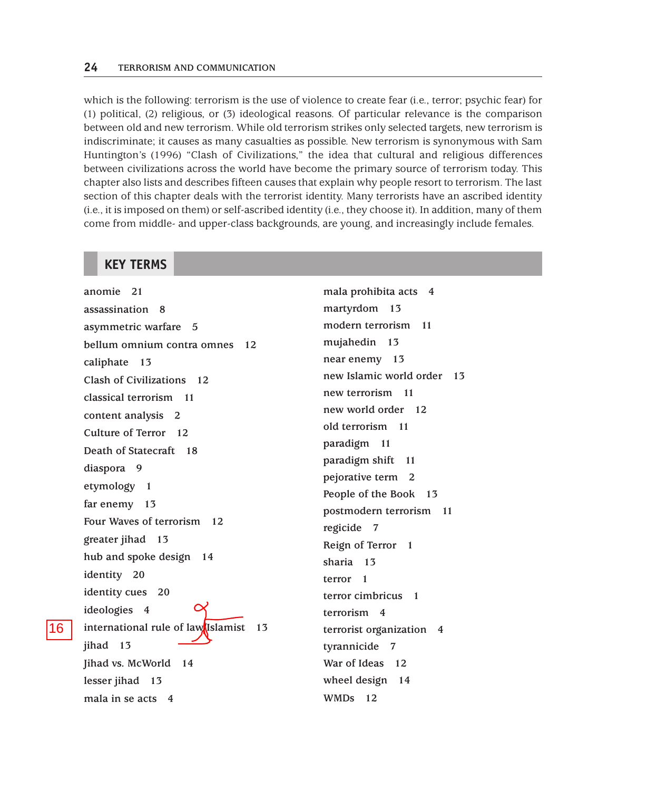which is the following: terrorism is the use of violence to create fear (i.e., terror; psychic fear) for (1) political, (2) religious, or (3) ideological reasons. Of particular relevance is the comparison between old and new terrorism. While old terrorism strikes only selected targets, new terrorism is indiscriminate; it causes as many casualties as possible. New terrorism is synonymous with Sam Huntington's (1996) "Clash of Civilizations," the idea that cultural and religious differences between civilizations across the world have become the primary source of terrorism today. This chapter also lists and describes fifteen causes that explain why people resort to terrorism. The last section of this chapter deals with the terrorist identity. Many terrorists have an ascribed identity (i.e., it is imposed on them) or self-ascribed identity (i.e., they choose it). In addition, many of them come from middle- and upper-class backgrounds, are young, and increasingly include females.

## **KEY TERMS**

**anomie 21 assassination 8 asymmetric warfare 5 bellum omnium contra omnes 12 caliphate 13 Clash of Civilizations 12 classical terrorism 11 content analysis 2 Culture of Terror 12 Death of Statecraft 18 diaspora 9 etymology 1 far enemy 13 Four Waves of terrorism 12 greater jihad 13 hub and spoke design 14 identity 20 identity cues 20 ideologies 4 international rule of law/Islamist 13 jihad 13 Jihad vs. McWorld 14 lesser jihad 13 mala in se acts 4**

16

**mala prohibita acts 4 martyrdom 13 modern terrorism 11 mujahedin 13 near enemy 13 new Islamic world order 13 new terrorism 11 new world order 12 old terrorism 11 paradigm 11 paradigm shift 11 pejorative term 2 People of the Book 13 postmodern terrorism 11 regicide 7 Reign of Terror 1 sharia 13 terror 1 terror cimbricus 1 terrorism 4 terrorist organization 4 tyrannicide 7 War of Ideas 12 wheel design 14 WMDs 12**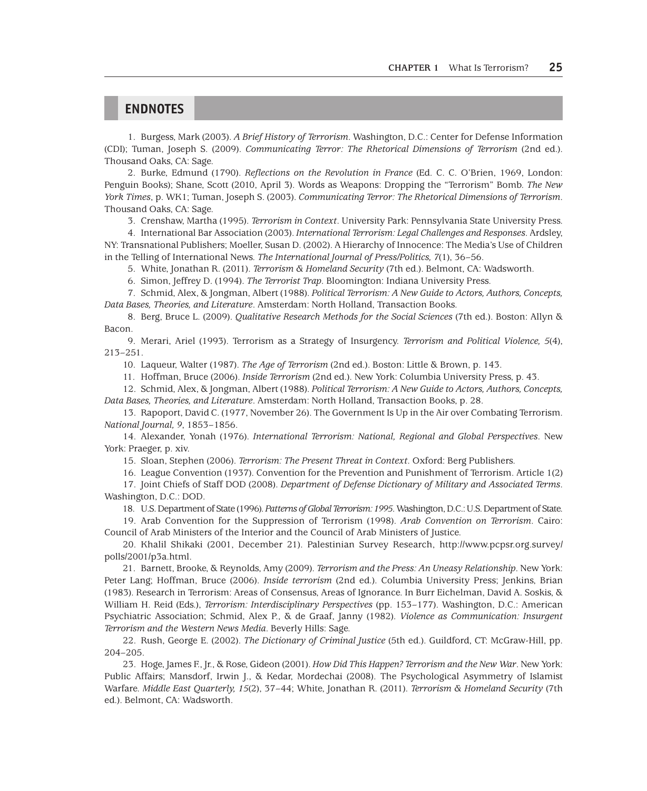# **ENDNOTES**

 1. Burgess, Mark (2003). *A Brief History of Terrorism*. Washington, D.C.: Center for Defense Information (CDI); Tuman, Joseph S. (2009). *Communicating Terror: The Rhetorical Dimensions of Terrorism* (2nd ed.). Thousand Oaks, CA: Sage.

 2. Burke, Edmund (1790). *Reflections on the Revolution in France* (Ed. C. C. O'Brien, 1969, London: Penguin Books); Shane, Scott (2010, April 3). Words as Weapons: Dropping the "Terrorism" Bomb. *The New York Times*, p. WK1; Tuman, Joseph S. (2003). *Communicating Terror: The Rhetorical Dimensions of Terrorism*. Thousand Oaks, CA: Sage.

3. Crenshaw, Martha (1995). *Terrorism in Context*. University Park: Pennsylvania State University Press.

 4. International Bar Association (2003). *International Terrorism: Legal Challenges and Responses*. Ardsley, NY: Transnational Publishers; Moeller, Susan D. (2002). A Hierarchy of Innocence: The Media's Use of Children in the Telling of International News. *The International Journal of Press/Politics, 7*(1), 36–56.

5. White, Jonathan R. (2011). *Terrorism & Homeland Security* (7th ed.). Belmont, CA: Wadsworth.

6. Simon, Jeffrey D. (1994). *The Terrorist Trap*. Bloomington: Indiana University Press.

 7. Schmid, Alex, & Jongman, Albert (1988). *Political Terrorism: A New Guide to Actors, Authors, Concepts, Data Bases, Theories, and Literature*. Amsterdam: North Holland, Transaction Books.

 8. Berg, Bruce L. (2009). *Qualitative Research Methods for the Social Sciences* (7th ed.). Boston: Allyn & Bacon.

 9. Merari, Ariel (1993). Terrorism as a Strategy of Insurgency. *Terrorism and Political Violence, 5*(4), 213–251.

10. Laqueur, Walter (1987). *The Age of Terrorism* (2nd ed.). Boston: Little & Brown, p. 143.

11. Hoffman, Bruce (2006). *Inside Terrorism* (2nd ed.). New York: Columbia University Press, p. 43.

12. Schmid, Alex, & Jongman, Albert (1988). *Political Terrorism: A New Guide to Actors, Authors, Concepts, Data Bases, Theories, and Literature*. Amsterdam: North Holland, Transaction Books, p. 28.

13. Rapoport, David C. (1977, November 26). The Government Is Up in the Air over Combating Terrorism. *National Journal, 9*, 1853–1856.

14. Alexander, Yonah (1976). *International Terrorism: National, Regional and Global Perspectives*. New York: Praeger, p. xiv.

15. Sloan, Stephen (2006). *Terrorism: The Present Threat in Context*. Oxford: Berg Publishers.

16. League Convention (1937). Convention for the Prevention and Punishment of Terrorism. Article 1(2)

17. Joint Chiefs of Staff DOD (2008). *Department of Defense Dictionary of Military and Associated Terms*. Washington, D.C.: DOD.

18. U.S. Department of State (1996). *Patterns of Global Terrorism: 1995*. Washington, D.C.: U.S. Department of State.

19. Arab Convention for the Suppression of Terrorism (1998). *Arab Convention on Terrorism*. Cairo: Council of Arab Ministers of the Interior and the Council of Arab Ministers of Justice.

20. Khalil Shikaki (2001, December 21). Palestinian Survey Research, http://www.pcpsr.org.survey/ polls/2001/p3a.html.

21. Barnett, Brooke, & Reynolds, Amy (2009). *Terrorism and the Press: An Uneasy Relationship*. New York: Peter Lang; Hoffman, Bruce (2006). *Inside terrorism* (2nd ed.). Columbia University Press; Jenkins, Brian (1983). Research in Terrorism: Areas of Consensus, Areas of Ignorance. In Burr Eichelman, David A. Soskis, & William H. Reid (Eds.), *Terrorism: Interdisciplinary Perspectives* (pp. 153–177). Washington, D.C.: American Psychiatric Association; Schmid, Alex P., & de Graaf, Janny (1982). *Violence as Communication: Insurgent Terrorism and the Western News Media*. Beverly Hills: Sage.

22. Rush, George E. (2002). *The Dictionary of Criminal Justice* (5th ed.). Guildford, CT: McGraw-Hill, pp. 204–205.

23. Hoge, James F., Jr., & Rose, Gideon (2001). *How Did This Happen? Terrorism and the New War*. New York: Public Affairs; Mansdorf, Irwin J., & Kedar, Mordechai (2008). The Psychological Asymmetry of Islamist Warfare. *Middle East Quarterly, 15*(2), 37–44; White, Jonathan R. (2011). *Terrorism & Homeland Security* (7th ed.). Belmont, CA: Wadsworth.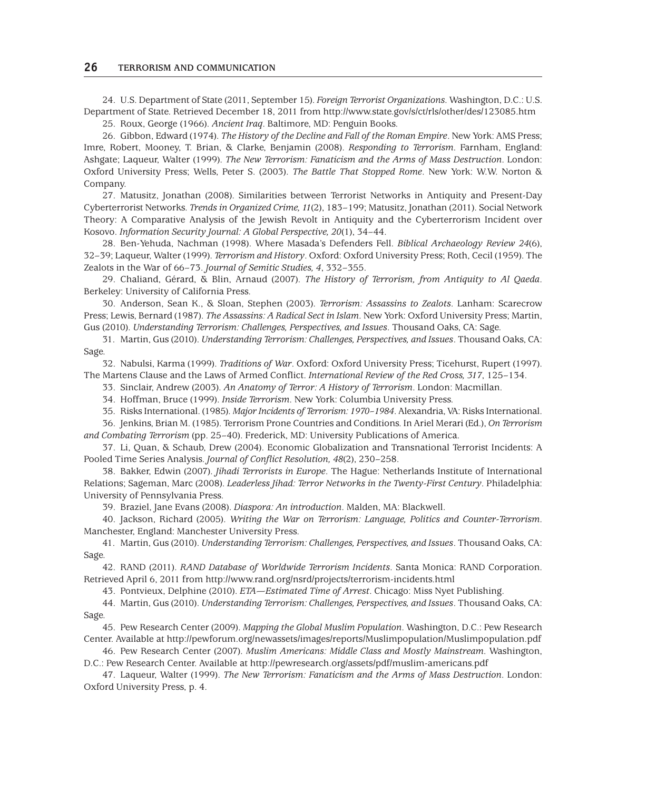24. U.S. Department of State (2011, September 15). *Foreign Terrorist Organizations*. Washington, D.C.: U.S. Department of State. Retrieved December 18, 2011 from http://www.state.gov/s/ct/rls/other/des/123085.htm

25. Roux, George (1966). *Ancient Iraq*. Baltimore, MD: Penguin Books.

26. Gibbon, Edward (1974). *The History of the Decline and Fall of the Roman Empire*. New York: AMS Press; Imre, Robert, Mooney, T. Brian, & Clarke, Benjamin (2008). *Responding to Terrorism*. Farnham, England: Ashgate; Laqueur, Walter (1999). *The New Terrorism: Fanaticism and the Arms of Mass Destruction*. London: Oxford University Press; Wells, Peter S. (2003). *The Battle That Stopped Rome*. New York: W.W. Norton & Company.

27. Matusitz, Jonathan (2008). Similarities between Terrorist Networks in Antiquity and Present-Day Cyberterrorist Networks. *Trends in Organized Crime, 11*(2), 183–199; Matusitz, Jonathan (2011). Social Network Theory: A Comparative Analysis of the Jewish Revolt in Antiquity and the Cyberterrorism Incident over Kosovo. *Information Security Journal: A Global Perspective, 20*(1), 34–44.

28. Ben-Yehuda, Nachman (1998). Where Masada's Defenders Fell. *Biblical Archaeology Review 24*(6), 32–39; Laqueur, Walter (1999). *Terrorism and History*. Oxford: Oxford University Press; Roth, Cecil (1959). The Zealots in the War of 66–73. *Journal of Semitic Studies, 4*, 332–355.

29. Chaliand, Gérard, & Blin, Arnaud (2007). *The History of Terrorism, from Antiquity to Al Qaeda*. Berkeley: University of California Press.

30. Anderson, Sean K., & Sloan, Stephen (2003). *Terrorism: Assassins to Zealots*. Lanham: Scarecrow Press; Lewis, Bernard (1987). *The Assassins: A Radical Sect in Islam*. New York: Oxford University Press; Martin, Gus (2010). *Understanding Terrorism: Challenges, Perspectives, and Issues*. Thousand Oaks, CA: Sage.

31. Martin, Gus (2010). *Understanding Terrorism: Challenges, Perspectives, and Issues*. Thousand Oaks, CA: Sage.

32. Nabulsi, Karma (1999). *Traditions of War*. Oxford: Oxford University Press; Ticehurst, Rupert (1997). The Martens Clause and the Laws of Armed Conflict. *International Review of the Red Cross, 317*, 125–134.

33. Sinclair, Andrew (2003). *An Anatomy of Terror: A History of Terrorism*. London: Macmillan.

34. Hoffman, Bruce (1999). *Inside Terrorism*. New York: Columbia University Press.

35. Risks International. (1985). *Major Incidents of Terrorism: 1970–1984*. Alexandria, VA: Risks International.

36. Jenkins, Brian M. (1985). Terrorism Prone Countries and Conditions. In Ariel Merari (Ed.), *On Terrorism and Combating Terrorism* (pp. 25–40). Frederick, MD: University Publications of America.

37. Li, Quan, & Schaub, Drew (2004). Economic Globalization and Transnational Terrorist Incidents: A Pooled Time Series Analysis. *Journal of Conflict Resolution, 48*(2), 230–258.

38. Bakker, Edwin (2007). *Jihadi Terrorists in Europe*. The Hague: Netherlands Institute of International Relations; Sageman, Marc (2008). *Leaderless Jihad: Terror Networks in the Twenty-First Century*. Philadelphia: University of Pennsylvania Press.

39. Braziel, Jane Evans (2008). *Diaspora: An introduction*. Malden, MA: Blackwell.

40. Jackson, Richard (2005). *Writing the War on Terrorism: Language, Politics and Counter-Terrorism*. Manchester, England: Manchester University Press.

41. Martin, Gus (2010). *Understanding Terrorism: Challenges, Perspectives, and Issues*. Thousand Oaks, CA: Sage.

42. RAND (2011). *RAND Database of Worldwide Terrorism Incidents*. Santa Monica: RAND Corporation. Retrieved April 6, 2011 from http://www.rand.org/nsrd/projects/terrorism-incidents.html

43. Pontvieux, Delphine (2010). *ETA—Estimated Time of Arrest*. Chicago: Miss Nyet Publishing.

44. Martin, Gus (2010). *Understanding Terrorism: Challenges, Perspectives, and Issues*. Thousand Oaks, CA: Sage.

45. Pew Research Center (2009). *Mapping the Global Muslim Population*. Washington, D.C.: Pew Research Center. Available at http://pewforum.org/newassets/images/reports/Muslimpopulation/Muslimpopulation.pdf

46. Pew Research Center (2007). *Muslim Americans: Middle Class and Mostly Mainstream*. Washington, D.C.: Pew Research Center. Available at http://pewresearch.org/assets/pdf/muslim-americans.pdf

47. Laqueur, Walter (1999). *The New Terrorism: Fanaticism and the Arms of Mass Destruction*. London: Oxford University Press, p. 4.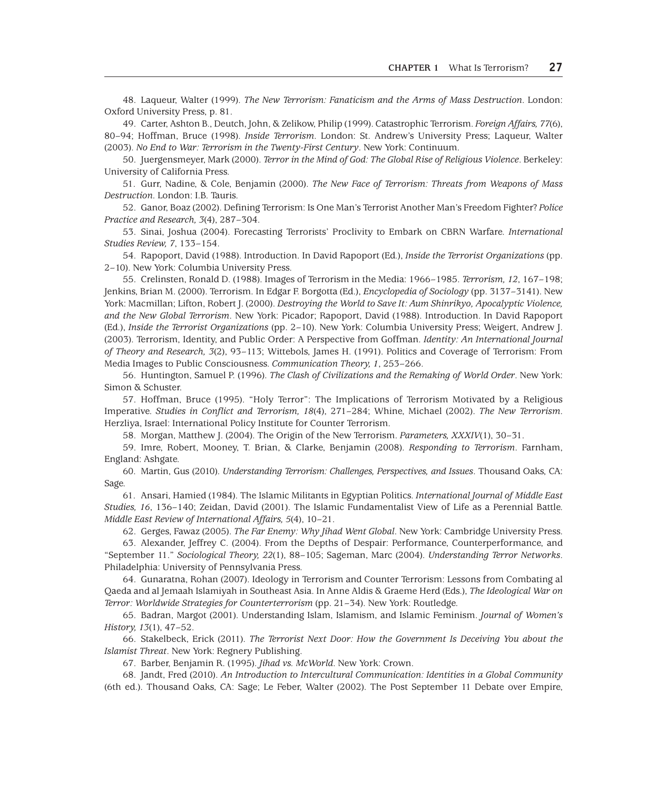48. Laqueur, Walter (1999). *The New Terrorism: Fanaticism and the Arms of Mass Destruction*. London: Oxford University Press, p. 81.

49. Carter, Ashton B., Deutch, John, & Zelikow, Philip (1999). Catastrophic Terrorism. *Foreign Affairs, 77*(6), 80–94; Hoffman, Bruce (1998). *Inside Terrorism*. London: St. Andrew's University Press; Laqueur, Walter (2003). *No End to War: Terrorism in the Twenty-First Century*. New York: Continuum.

50. Juergensmeyer, Mark (2000). *Terror in the Mind of God: The Global Rise of Religious Violence*. Berkeley: University of California Press.

51. Gurr, Nadine, & Cole, Benjamin (2000). *The New Face of Terrorism: Threats from Weapons of Mass Destruction*. London: I.B. Tauris.

52. Ganor, Boaz (2002). Defining Terrorism: Is One Man's Terrorist Another Man's Freedom Fighter? *Police Practice and Research, 3*(4), 287–304.

53. Sinai, Joshua (2004). Forecasting Terrorists' Proclivity to Embark on CBRN Warfare. *International Studies Review, 7*, 133–154.

54. Rapoport, David (1988). Introduction. In David Rapoport (Ed*.*), *Inside the Terrorist Organizations* (pp. 2–10). New York: Columbia University Press.

55. Crelinsten, Ronald D. (1988). Images of Terrorism in the Media: 1966–1985. *Terrorism, 12*, 167–198; Jenkins, Brian M. (2000). Terrorism. In Edgar F. Borgotta (Ed.), *Encyclopedia of Sociology* (pp. 3137–3141). New York: Macmillan; Lifton, Robert J. (2000). *Destroying the World to Save It: Aum Shinrikyo, Apocalyptic Violence, and the New Global Terrorism*. New York: Picador; Rapoport, David (1988). Introduction. In David Rapoport (Ed*.*), *Inside the Terrorist Organizations* (pp. 2–10). New York: Columbia University Press; Weigert, Andrew J. (2003). Terrorism, Identity, and Public Order: A Perspective from Goffman. *Identity: An International Journal of Theory and Research, 3*(2), 93–113; Wittebols, James H. (1991). Politics and Coverage of Terrorism: From Media Images to Public Consciousness. *Communication Theory, 1*, 253–266.

56. Huntington, Samuel P. (1996). *The Clash of Civilizations and the Remaking of World Order*. New York: Simon & Schuster.

57. Hoffman, Bruce (1995). "Holy Terror": The Implications of Terrorism Motivated by a Religious Imperative. *Studies in Conflict and Terrorism, 18*(4), 271–284; Whine, Michael (2002). *The New Terrorism*. Herzliya, Israel: International Policy Institute for Counter Terrorism.

58. Morgan, Matthew J. (2004). The Origin of the New Terrorism. *Parameters, XXXIV*(1), 30–31.

59. Imre, Robert, Mooney, T. Brian, & Clarke, Benjamin (2008). *Responding to Terrorism*. Farnham, England: Ashgate.

60. Martin, Gus (2010). *Understanding Terrorism: Challenges, Perspectives, and Issues*. Thousand Oaks, CA: Sage.

61. Ansari, Hamied (1984). The Islamic Militants in Egyptian Politics. *International Journal of Middle East Studies, 16*, 136–140; Zeidan, David (2001). The Islamic Fundamentalist View of Life as a Perennial Battle. *Middle East Review of International Affairs, 5*(4), 10–21.

62. Gerges, Fawaz (2005). *The Far Enemy: Why Jihad Went Global*. New York: Cambridge University Press.

63. Alexander, Jeffrey C. (2004). From the Depths of Despair: Performance, Counterperformance, and "September 11." *Sociological Theory, 22*(1), 88–105; Sageman, Marc (2004). *Understanding Terror Networks*. Philadelphia: University of Pennsylvania Press.

64. Gunaratna, Rohan (2007). Ideology in Terrorism and Counter Terrorism: Lessons from Combating al Qaeda and al Jemaah Islamiyah in Southeast Asia. In Anne Aldis & Graeme Herd (Eds.), *The Ideological War on Terror: Worldwide Strategies for Counterterrorism* (pp. 21–34). New York: Routledge.

65. Badran, Margot (2001). Understanding Islam, Islamism, and Islamic Feminism. *Journal of Women's History, 13*(1), 47–52.

66. Stakelbeck, Erick (2011). *The Terrorist Next Door: How the Government Is Deceiving You about the Islamist Threat*. New York: Regnery Publishing.

67. Barber, Benjamin R. (1995). *Jihad vs. McWorld*. New York: Crown.

68. Jandt, Fred (2010). *An Introduction to Intercultural Communication: Identities in a Global Community* (6th ed.). Thousand Oaks, CA: Sage; Le Feber, Walter (2002). The Post September 11 Debate over Empire,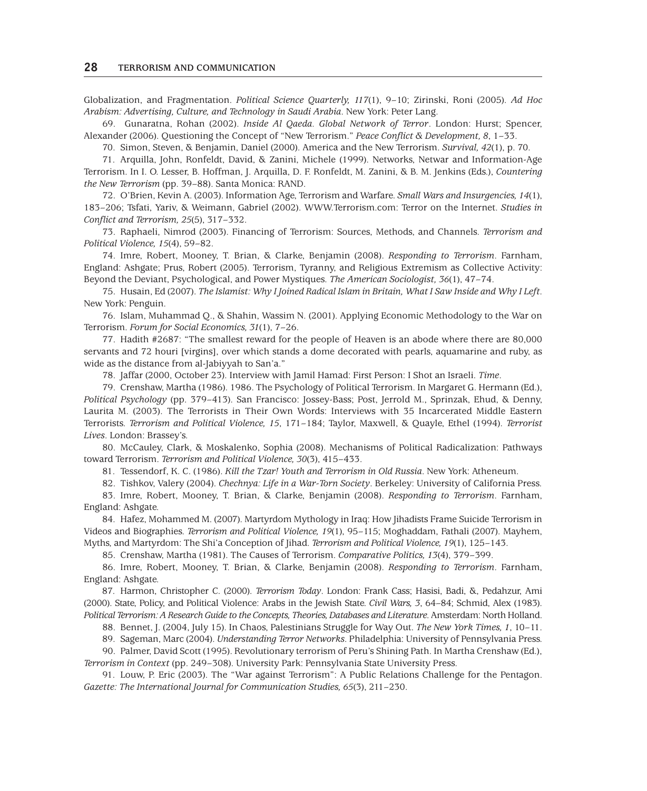Globalization, and Fragmentation. *Political Science Quarterly, 117*(1), 9–10; Zirinski, Roni (2005). *Ad Hoc Arabism: Advertising, Culture, and Technology in Saudi Arabia*. New York: Peter Lang.

69. Gunaratna, Rohan (2002). *Inside Al Qaeda. Global Network of Terror*. London: Hurst; Spencer, Alexander (2006). Questioning the Concept of "New Terrorism." *Peace Conflict & Development, 8*, 1–33.

70. Simon, Steven, & Benjamin, Daniel (2000). America and the New Terrorism. *Survival, 42*(1), p. 70.

71. Arquilla, John, Ronfeldt, David, & Zanini, Michele (1999). Networks, Netwar and Information-Age Terrorism. In I. O. Lesser, B. Hoffman, J. Arquilla, D. F. Ronfeldt, M. Zanini, & B. M. Jenkins (Eds.), *Countering the New Terrorism* (pp. 39–88). Santa Monica: RAND.

72. O'Brien, Kevin A. (2003). Information Age, Terrorism and Warfare. *Small Wars and Insurgencies, 14*(1), 183–206; Tsfati, Yariv, & Weimann, Gabriel (2002). WWW.Terrorism.com: Terror on the Internet. *Studies in Conflict and Terrorism, 25*(5), 317–332.

73. Raphaeli, Nimrod (2003). Financing of Terrorism: Sources, Methods, and Channels. *Terrorism and Political Violence, 15*(4), 59–82.

74. Imre, Robert, Mooney, T. Brian, & Clarke, Benjamin (2008). *Responding to Terrorism*. Farnham, England: Ashgate; Prus, Robert (2005). Terrorism, Tyranny, and Religious Extremism as Collective Activity: Beyond the Deviant, Psychological, and Power Mystiques. *The American Sociologist, 36*(1), 47–74.

75. Husain, Ed (2007). *The Islamist: Why I Joined Radical Islam in Britain, What I Saw Inside and Why I Left*. New York: Penguin.

76. Islam, Muhammad Q., & Shahin, Wassim N. (2001). Applying Economic Methodology to the War on Terrorism. *Forum for Social Economics, 31*(1), 7–26.

77. Hadith #2687: "The smallest reward for the people of Heaven is an abode where there are 80,000 servants and 72 houri [virgins], over which stands a dome decorated with pearls, aquamarine and ruby, as wide as the distance from al-Jabiyyah to San'a."

78. Jaffar (2000, October 23). Interview with Jamil Hamad: First Person: I Shot an Israeli. *Time*.

79. Crenshaw, Martha (1986). 1986. The Psychology of Political Terrorism. In Margaret G. Hermann (Ed.), *Political Psychology* (pp. 379–413). San Francisco: Jossey-Bass; Post, Jerrold M., Sprinzak, Ehud, & Denny, Laurita M. (2003). The Terrorists in Their Own Words: Interviews with 35 Incarcerated Middle Eastern Terrorists. *Terrorism and Political Violence, 15*, 171–184; Taylor, Maxwell, & Quayle, Ethel (1994). *Terrorist Lives*. London: Brassey's.

80. McCauley, Clark, & Moskalenko, Sophia (2008). Mechanisms of Political Radicalization: Pathways toward Terrorism. *Terrorism and Political Violence, 30*(3), 415–433.

81. Tessendorf, K. C. (1986). *Kill the Tzar! Youth and Terrorism in Old Russia*. New York: Atheneum.

82. Tishkov, Valery (2004). *Chechnya: Life in a War-Torn Society*. Berkeley: University of California Press.

83. Imre, Robert, Mooney, T. Brian, & Clarke, Benjamin (2008). *Responding to Terrorism*. Farnham, England: Ashgate.

84. Hafez, Mohammed M. (2007). Martyrdom Mythology in Iraq: How Jihadists Frame Suicide Terrorism in Videos and Biographies. *Terrorism and Political Violence, 19*(1), 95–115; Moghaddam, Fathali (2007). Mayhem, Myths, and Martyrdom: The Shi'a Conception of Jihad. *Terrorism and Political Violence, 19*(1), 125–143.

85. Crenshaw, Martha (1981). The Causes of Terrorism. *Comparative Politics, 13*(4), 379–399.

86. Imre, Robert, Mooney, T. Brian, & Clarke, Benjamin (2008). *Responding to Terrorism*. Farnham, England: Ashgate.

87. Harmon, Christopher C. (2000). *Terrorism Today*. London: Frank Cass; Hasisi, Badi, &, Pedahzur, Ami (2000). State, Policy, and Political Violence: Arabs in the Jewish State. *Civil Wars, 3*, 64–84; Schmid, Alex (1983). *Political Terrorism: A Research Guide to the Concepts, Theories, Databases and Literature*. Amsterdam: North Holland.

88. Bennet, J. (2004, July 15). In Chaos, Palestinians Struggle for Way Out. *The New York Times, 1*, 10–11.

89. Sageman, Marc (2004). *Understanding Terror Networks*. Philadelphia: University of Pennsylvania Press.

90. Palmer, David Scott (1995). Revolutionary terrorism of Peru's Shining Path. In Martha Crenshaw (Ed.), *Terrorism in Context* (pp. 249–308). University Park: Pennsylvania State University Press.

91. Louw, P. Eric (2003). The "War against Terrorism": A Public Relations Challenge for the Pentagon. *Gazette: The International Journal for Communication Studies, 65*(3), 211–230.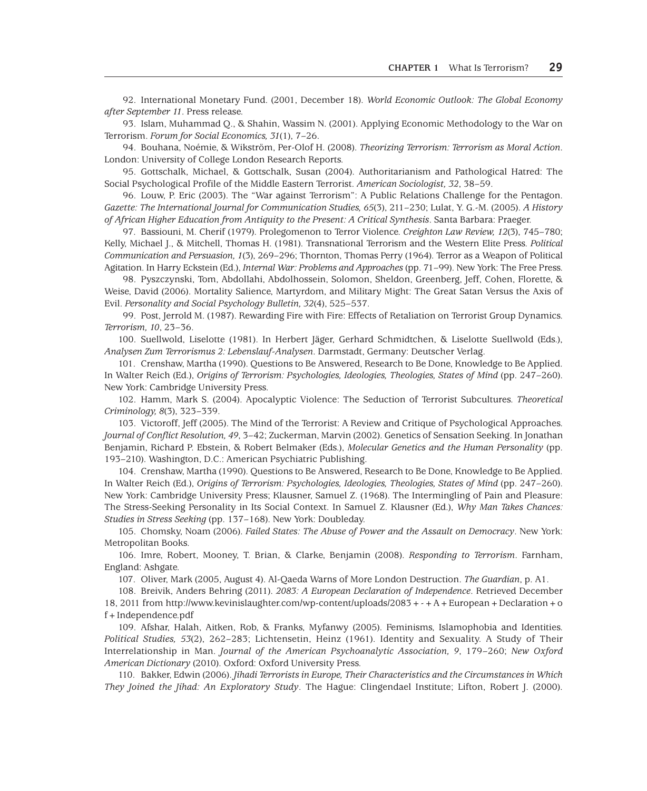92. International Monetary Fund. (2001, December 18). *World Economic Outlook: The Global Economy after September 11*. Press release.

93. Islam, Muhammad Q., & Shahin, Wassim N. (2001). Applying Economic Methodology to the War on Terrorism. *Forum for Social Economics, 31*(1), 7–26.

94. Bouhana, Noémie, & Wikström, Per-Olof H. (2008). *Theorizing Terrorism: Terrorism as Moral Action*. London: University of College London Research Reports.

95. Gottschalk, Michael, & Gottschalk, Susan (2004). Authoritarianism and Pathological Hatred: The Social Psychological Profile of the Middle Eastern Terrorist. *American Sociologist, 32*, 38–59.

96. Louw, P. Eric (2003). The "War against Terrorism": A Public Relations Challenge for the Pentagon. *Gazette: The International Journal for Communication Studies, 65*(3), 211–230; Lulat, Y. G.-M. (2005). *A History of African Higher Education from Antiquity to the Present: A Critical Synthesis*. Santa Barbara: Praeger.

97. Bassiouni, M. Cherif (1979). Prolegomenon to Terror Violence. *Creighton Law Review, 12*(3), 745–780; Kelly, Michael J., & Mitchell, Thomas H. (1981). Transnational Terrorism and the Western Elite Press. *Political Communication and Persuasion, 1*(3), 269–296; Thornton, Thomas Perry (1964). Terror as a Weapon of Political Agitation. In Harry Eckstein (Ed.), *Internal War: Problems and Approaches* (pp. 71–99). New York: The Free Press.

98. Pyszczynski, Tom, Abdollahi, Abdolhossein, Solomon, Sheldon, Greenberg, Jeff, Cohen, Florette, & Weise, David (2006). Mortality Salience, Martyrdom, and Military Might: The Great Satan Versus the Axis of Evil. *Personality and Social Psychology Bulletin, 32*(4), 525–537.

99. Post, Jerrold M. (1987). Rewarding Fire with Fire: Effects of Retaliation on Terrorist Group Dynamics. *Terrorism, 10*, 23–36.

100. Suellwold, Liselotte (1981). In Herbert Jäger, Gerhard Schmidtchen, & Liselotte Suellwold (Eds.), *Analysen Zum Terrorismus 2: Lebenslauf-Analysen*. Darmstadt, Germany: Deutscher Verlag.

101. Crenshaw, Martha (1990). Questions to Be Answered, Research to Be Done, Knowledge to Be Applied. In Walter Reich (Ed.), *Origins of Terrorism: Psychologies, Ideologies, Theologies, States of Mind* (pp. 247–260). New York: Cambridge University Press.

102. Hamm, Mark S. (2004). Apocalyptic Violence: The Seduction of Terrorist Subcultures. *Theoretical Criminology, 8*(3), 323–339.

103. Victoroff, Jeff (2005). The Mind of the Terrorist: A Review and Critique of Psychological Approaches. *Journal of Conflict Resolution, 49*, 3–42; Zuckerman, Marvin (2002). Genetics of Sensation Seeking. In Jonathan Benjamin, Richard P. Ebstein, & Robert Belmaker (Eds.), *Molecular Genetics and the Human Personality* (pp. 193–210). Washington, D.C.: American Psychiatric Publishing.

104. Crenshaw, Martha (1990). Questions to Be Answered, Research to Be Done, Knowledge to Be Applied. In Walter Reich (Ed.), *Origins of Terrorism: Psychologies, Ideologies, Theologies, States of Mind* (pp. 247–260). New York: Cambridge University Press; Klausner, Samuel Z. (1968). The Intermingling of Pain and Pleasure: The Stress-Seeking Personality in Its Social Context. In Samuel Z. Klausner (Ed.), *Why Man Takes Chances: Studies in Stress Seeking* (pp. 137–168). New York: Doubleday.

105. Chomsky, Noam (2006). *Failed States: The Abuse of Power and the Assault on Democracy*. New York: Metropolitan Books.

106. Imre, Robert, Mooney, T. Brian, & Clarke, Benjamin (2008). *Responding to Terrorism*. Farnham, England: Ashgate.

107. Oliver, Mark (2005, August 4). Al-Qaeda Warns of More London Destruction. *The Guardian*, p. A1.

108. Breivik, Anders Behring (2011). *2083: A European Declaration of Independence*. Retrieved December 18, 2011 from http://www.kevinislaughter.com/wp-content/uploads/2083+-+A+European+Declaration+o f+Independence.pdf

109. Afshar, Halah, Aitken, Rob, & Franks, Myfanwy (2005). Feminisms, Islamophobia and Identities. *Political Studies, 53*(2), 262–283; Lichtensetin, Heinz (1961). Identity and Sexuality. A Study of Their Interrelationship in Man. *Journal of the American Psychoanalytic Association, 9*, 179–260; *New Oxford American Dictionary* (2010). Oxford: Oxford University Press.

110. Bakker, Edwin (2006). *Jihadi Terrorists in Europe, Their Characteristics and the Circumstances in Which They Joined the Jihad: An Exploratory Study*. The Hague: Clingendael Institute; Lifton, Robert J. (2000).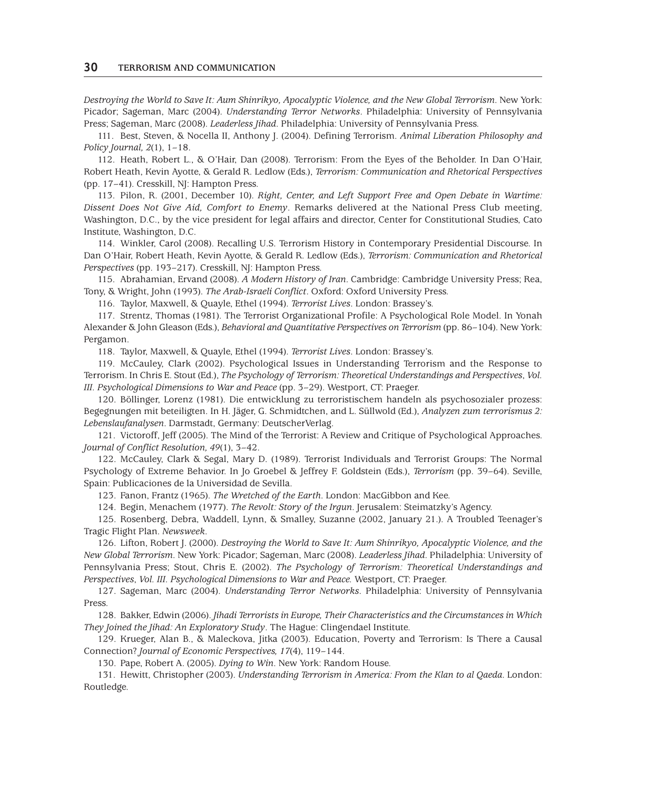*Destroying the World to Save It: Aum Shinrikyo, Apocalyptic Violence, and the New Global Terrorism*. New York: Picador; Sageman, Marc (2004). *Understanding Terror Networks*. Philadelphia: University of Pennsylvania Press; Sageman, Marc (2008). *Leaderless Jihad*. Philadelphia: University of Pennsylvania Press.

111. Best, Steven, & Nocella II, Anthony J. (2004). Defining Terrorism. *Animal Liberation Philosophy and Policy Journal, 2*(1), 1–18.

112. Heath, Robert L., & O'Hair, Dan (2008). Terrorism: From the Eyes of the Beholder. In Dan O'Hair, Robert Heath, Kevin Ayotte, & Gerald R. Ledlow (Eds.), *Terrorism: Communication and Rhetorical Perspectives* (pp. 17–41). Cresskill, NJ: Hampton Press.

113. Pilon, R. (2001, December 10). *Right, Center, and Left Support Free and Open Debate in Wartime: Dissent Does Not Give Aid, Comfort to Enemy*. Remarks delivered at the National Press Club meeting, Washington, D.C., by the vice president for legal affairs and director, Center for Constitutional Studies, Cato Institute, Washington, D.C.

114. Winkler, Carol (2008). Recalling U.S. Terrorism History in Contemporary Presidential Discourse. In Dan O'Hair, Robert Heath, Kevin Ayotte, & Gerald R. Ledlow (Eds.), *Terrorism: Communication and Rhetorical Perspectives* (pp. 193–217). Cresskill, NJ: Hampton Press.

115. Abrahamian, Ervand (2008). *A Modern History of Iran*. Cambridge: Cambridge University Press; Rea, Tony, & Wright, John (1993). *The Arab-Israeli Conflict*. Oxford: Oxford University Press.

116. Taylor, Maxwell, & Quayle, Ethel (1994). *Terrorist Lives*. London: Brassey's.

117. Strentz, Thomas (1981). The Terrorist Organizational Profile: A Psychological Role Model. In Yonah Alexander & John Gleason (Eds.), *Behavioral and Quantitative Perspectives on Terrorism* (pp. 86–104). New York: Pergamon.

118. Taylor, Maxwell, & Quayle, Ethel (1994). *Terrorist Lives*. London: Brassey's.

119. McCauley, Clark (2002). Psychological Issues in Understanding Terrorism and the Response to Terrorism. In Chris E. Stout (Ed.), *The Psychology of Terrorism: Theoretical Understandings and Perspectives*, *Vol. III. Psychological Dimensions to War and Peace* (pp. 3–29). Westport, CT: Praeger.

120. Böllinger, Lorenz (1981). Die entwicklung zu terroristischem handeln als psychosozialer prozess: Begegnungen mit beteiligten. In H. Jäger, G. Schmidtchen, and L. Süllwold (Ed.), *Analyzen zum terrorismus 2: Lebenslaufanalysen*. Darmstadt, Germany: DeutscherVerlag.

121. Victoroff, Jeff (2005). The Mind of the Terrorist: A Review and Critique of Psychological Approaches. *Journal of Conflict Resolution, 49*(1), 3–42.

122. McCauley, Clark & Segal, Mary D. (1989). Terrorist Individuals and Terrorist Groups: The Normal Psychology of Extreme Behavior. In Jo Groebel & Jeffrey F. Goldstein (Eds.), *Terrorism* (pp. 39–64). Seville, Spain: Publicaciones de la Universidad de Sevilla.

123. Fanon, Frantz (1965). *The Wretched of the Earth*. London: MacGibbon and Kee.

124. Begin, Menachem (1977). *The Revolt: Story of the Irgun*. Jerusalem: Steimatzky's Agency.

125. Rosenberg, Debra, Waddell, Lynn, & Smalley, Suzanne (2002, January 21.). A Troubled Teenager's Tragic Flight Plan. *Newsweek*.

126. Lifton, Robert J. (2000). *Destroying the World to Save It: Aum Shinrikyo, Apocalyptic Violence, and the New Global Terrorism*. New York: Picador; Sageman, Marc (2008). *Leaderless Jihad*. Philadelphia: University of Pennsylvania Press; Stout, Chris E. (2002). *The Psychology of Terrorism: Theoretical Understandings and Perspectives*, *Vol. III. Psychological Dimensions to War and Peace.* Westport, CT: Praeger.

127. Sageman, Marc (2004). *Understanding Terror Networks*. Philadelphia: University of Pennsylvania Press.

128. Bakker, Edwin (2006). *Jihadi Terrorists in Europe, Their Characteristics and the Circumstances in Which They Joined the Jihad: An Exploratory Study*. The Hague: Clingendael Institute.

129. Krueger, Alan B., & Maleckova, Jitka (2003). Education, Poverty and Terrorism: Is There a Causal Connection? *Journal of Economic Perspectives, 17*(4), 119–144.

130. Pape, Robert A. (2005). *Dying to Win*. New York: Random House.

131. Hewitt, Christopher (2003). *Understanding Terrorism in America: From the Klan to al Qaeda*. London: Routledge.